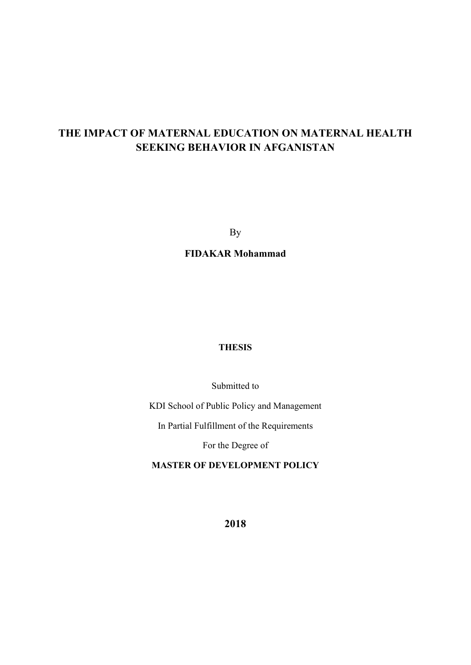# **THE IMPACT OF MATERNAL EDUCATION ON MATERNAL HEALTH SEEKING BEHAVIOR IN AFGANISTAN**

By

**FIDAKAR Mohammad** 

# **THESIS**

Submitted to

KDI School of Public Policy and Management

In Partial Fulfillment of the Requirements

For the Degree of

**MASTER OF DEVELOPMENT POLICY** 

**2018**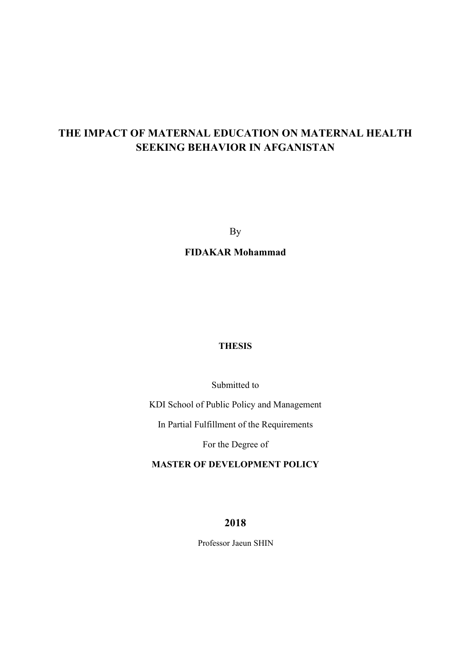# **THE IMPACT OF MATERNAL EDUCATION ON MATERNAL HEALTH SEEKING BEHAVIOR IN AFGANISTAN**

By

**FIDAKAR Mohammad** 

# **THESIS**

Submitted to

KDI School of Public Policy and Management

In Partial Fulfillment of the Requirements

For the Degree of

**MASTER OF DEVELOPMENT POLICY** 

**2018** 

Professor Jaeun SHIN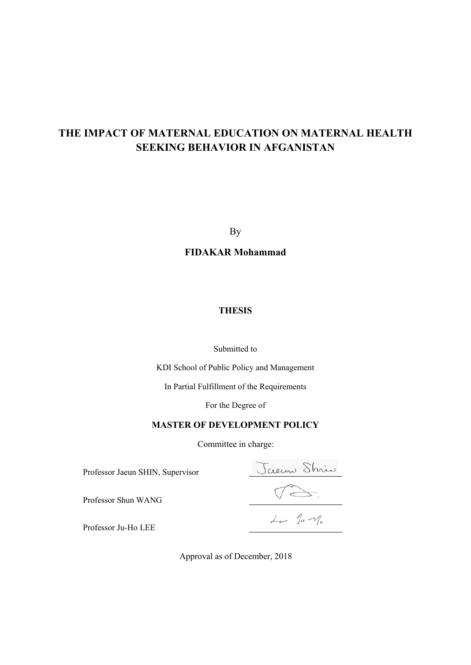# **THE IMPACT OF MATERNAL EDUCATION ON MATERNAL HEALTH SEEKING BEHAVIOR IN AFGANISTAN**

By

**FIDAKAR Mohammad** 

# **THESIS**

# Submitted to

KDI School of Public Policy and Management

In Partial Fulfillment of the Requirements

For the Degree of

# **MASTER OF DEVELOPMENT POLICY**

Committee in charge:

Professor Jaeun SHIN, Supervisor

Professor Shun WANG

Jaenne Shrin<br>13.<br>14 14 m

Professor Ju-Ho LEE

Approval as of December, 2018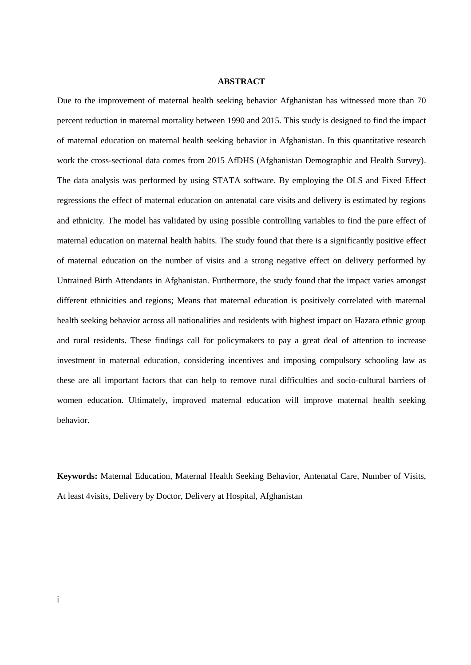#### **ABSTRACT**

Due to the improvement of maternal health seeking behavior Afghanistan has witnessed more than 70 percent reduction in maternal mortality between 1990 and 2015. This study is designed to find the impact of maternal education on maternal health seeking behavior in Afghanistan. In this quantitative research work the cross-sectional data comes from 2015 AfDHS (Afghanistan Demographic and Health Survey). The data analysis was performed by using STATA software. By employing the OLS and Fixed Effect regressions the effect of maternal education on antenatal care visits and delivery is estimated by regions and ethnicity. The model has validated by using possible controlling variables to find the pure effect of maternal education on maternal health habits. The study found that there is a significantly positive effect of maternal education on the number of visits and a strong negative effect on delivery performed by Untrained Birth Attendants in Afghanistan. Furthermore, the study found that the impact varies amongst different ethnicities and regions; Means that maternal education is positively correlated with maternal health seeking behavior across all nationalities and residents with highest impact on Hazara ethnic group and rural residents. These findings call for policymakers to pay a great deal of attention to increase investment in maternal education, considering incentives and imposing compulsory schooling law as these are all important factors that can help to remove rural difficulties and socio-cultural barriers of women education. Ultimately, improved maternal education will improve maternal health seeking behavior.

**Keywords:** Maternal Education, Maternal Health Seeking Behavior, Antenatal Care, Number of Visits, At least 4visits, Delivery by Doctor, Delivery at Hospital, Afghanistan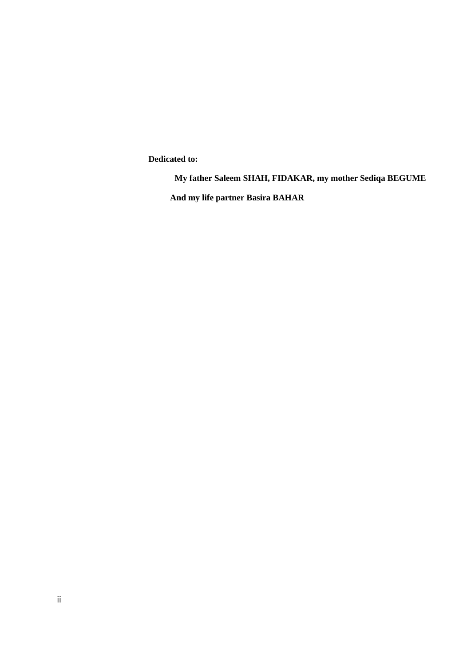**Dedicated to:**

**My father Saleem SHAH, FIDAKAR, my mother Sediqa BEGUME**

**And my life partner Basira BAHAR**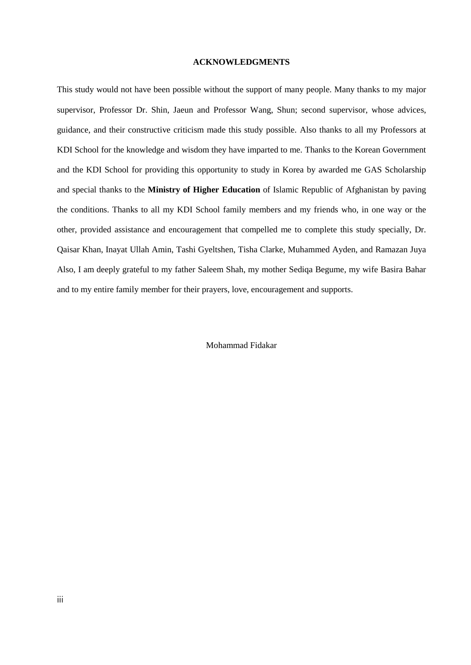#### **ACKNOWLEDGMENTS**

This study would not have been possible without the support of many people. Many thanks to my major supervisor, Professor Dr. Shin, Jaeun and Professor Wang, Shun; second supervisor, whose advices, guidance, and their constructive criticism made this study possible. Also thanks to all my Professors at KDI School for the knowledge and wisdom they have imparted to me. Thanks to the Korean Government and the KDI School for providing this opportunity to study in Korea by awarded me GAS Scholarship and special thanks to the **Ministry of Higher Education** of Islamic Republic of Afghanistan by paving the conditions. Thanks to all my KDI School family members and my friends who, in one way or the other, provided assistance and encouragement that compelled me to complete this study specially, Dr. Qaisar Khan, Inayat Ullah Amin, Tashi Gyeltshen, Tisha Clarke, Muhammed Ayden, and Ramazan Juya Also, I am deeply grateful to my father Saleem Shah, my mother Sediqa Begume, my wife Basira Bahar and to my entire family member for their prayers, love, encouragement and supports.

#### Mohammad Fidakar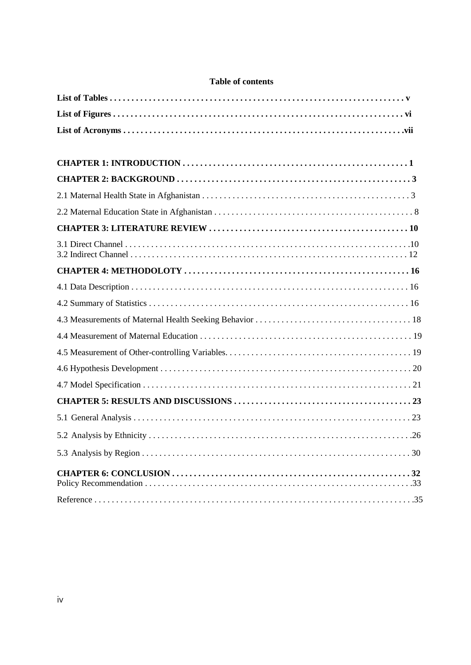# **Table of contents**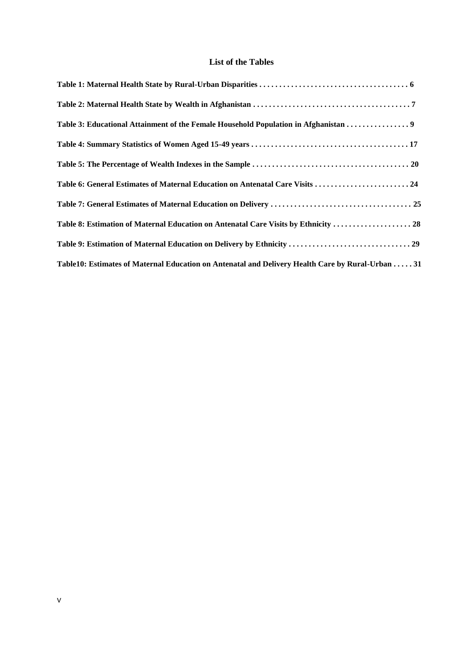# **List of the Tables**

| Table 3: Educational Attainment of the Female Household Population in Afghanistan 9               |  |
|---------------------------------------------------------------------------------------------------|--|
|                                                                                                   |  |
|                                                                                                   |  |
|                                                                                                   |  |
|                                                                                                   |  |
| Table 8: Estimation of Maternal Education on Antenatal Care Visits by Ethnicity  28               |  |
|                                                                                                   |  |
| Table10: Estimates of Maternal Education on Antenatal and Delivery Health Care by Rural-Urban  31 |  |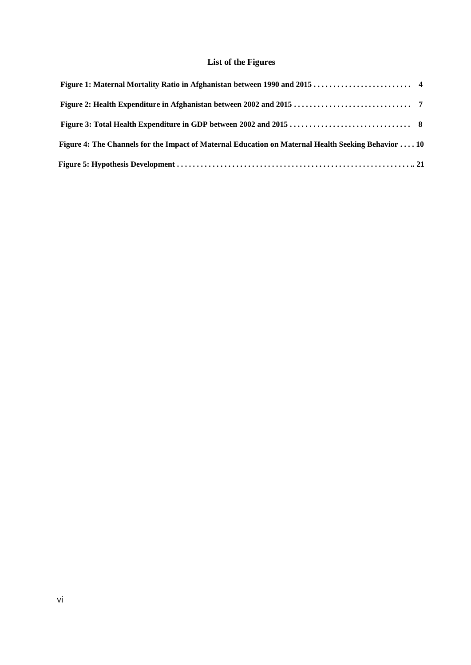# **List of the Figures**

| Figure 4: The Channels for the Impact of Maternal Education on Maternal Health Seeking Behavior  10 |  |
|-----------------------------------------------------------------------------------------------------|--|
|                                                                                                     |  |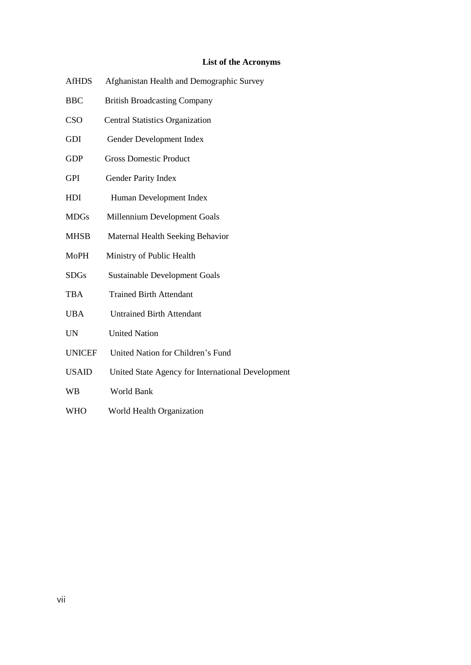# **List of the Acronyms**

- AfHDS Afghanistan Health and Demographic Survey
- BBC British Broadcasting Company
- CSO Central Statistics Organization
- GDI Gender Development Index
- GDP Gross Domestic Product
- GPI Gender Parity Index
- HDI Human Development Index
- MDGs Millennium Development Goals
- MHSB Maternal Health Seeking Behavior
- MoPH Ministry of Public Health
- SDGs Sustainable Development Goals
- TBA Trained Birth Attendant
- UBA Untrained Birth Attendant
- UN United Nation
- UNICEF United Nation for Children's Fund
- USAID United State Agency for International Development
- WB World Bank
- WHO World Health Organization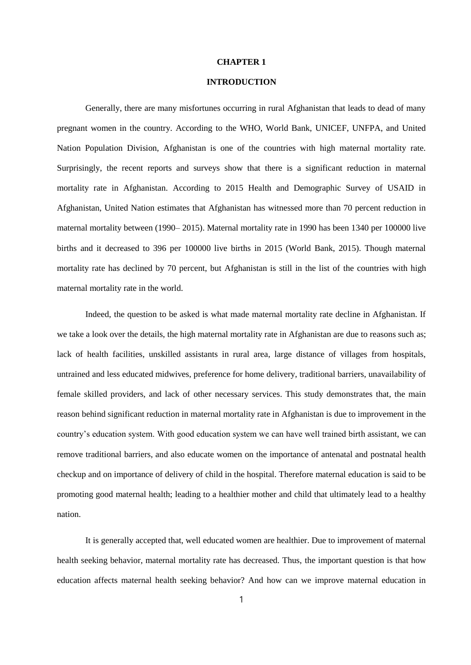#### **CHAPTER 1**

# **INTRODUCTION**

Generally, there are many misfortunes occurring in rural Afghanistan that leads to dead of many pregnant women in the country. According to the WHO, World Bank, UNICEF, UNFPA, and United Nation Population Division, Afghanistan is one of the countries with high maternal mortality rate. Surprisingly, the recent reports and surveys show that there is a significant reduction in maternal mortality rate in Afghanistan. According to 2015 Health and Demographic Survey of USAID in Afghanistan, United Nation estimates that Afghanistan has witnessed more than 70 percent reduction in maternal mortality between (1990– 2015). Maternal mortality rate in 1990 has been 1340 per 100000 live births and it decreased to 396 per 100000 live births in 2015 (World Bank, 2015). Though maternal mortality rate has declined by 70 percent, but Afghanistan is still in the list of the countries with high maternal mortality rate in the world.

Indeed, the question to be asked is what made maternal mortality rate decline in Afghanistan. If we take a look over the details, the high maternal mortality rate in Afghanistan are due to reasons such as; lack of health facilities, unskilled assistants in rural area, large distance of villages from hospitals, untrained and less educated midwives, preference for home delivery, traditional barriers, unavailability of female skilled providers, and lack of other necessary services. This study demonstrates that, the main reason behind significant reduction in maternal mortality rate in Afghanistan is due to improvement in the country's education system. With good education system we can have well trained birth assistant, we can remove traditional barriers, and also educate women on the importance of antenatal and postnatal health checkup and on importance of delivery of child in the hospital. Therefore maternal education is said to be promoting good maternal health; leading to a healthier mother and child that ultimately lead to a healthy nation.

It is generally accepted that, well educated women are healthier. Due to improvement of maternal health seeking behavior, maternal mortality rate has decreased. Thus, the important question is that how education affects maternal health seeking behavior? And how can we improve maternal education in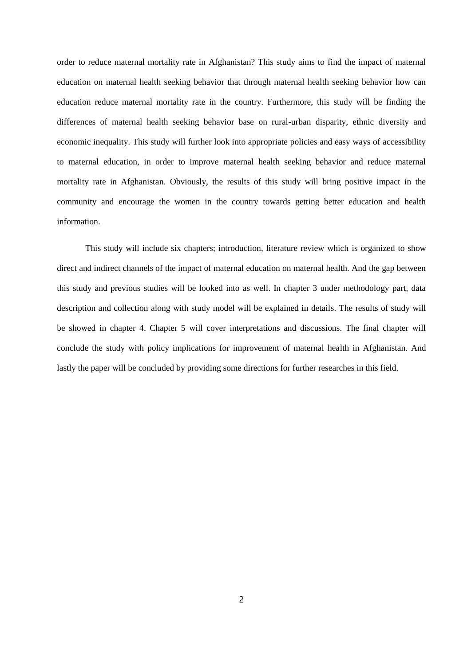order to reduce maternal mortality rate in Afghanistan? This study aims to find the impact of maternal education on maternal health seeking behavior that through maternal health seeking behavior how can education reduce maternal mortality rate in the country. Furthermore, this study will be finding the differences of maternal health seeking behavior base on rural-urban disparity, ethnic diversity and economic inequality. This study will further look into appropriate policies and easy ways of accessibility to maternal education, in order to improve maternal health seeking behavior and reduce maternal mortality rate in Afghanistan. Obviously, the results of this study will bring positive impact in the community and encourage the women in the country towards getting better education and health information.

This study will include six chapters; introduction, literature review which is organized to show direct and indirect channels of the impact of maternal education on maternal health. And the gap between this study and previous studies will be looked into as well. In chapter 3 under methodology part, data description and collection along with study model will be explained in details. The results of study will be showed in chapter 4. Chapter 5 will cover interpretations and discussions. The final chapter will conclude the study with policy implications for improvement of maternal health in Afghanistan. And lastly the paper will be concluded by providing some directions for further researches in this field.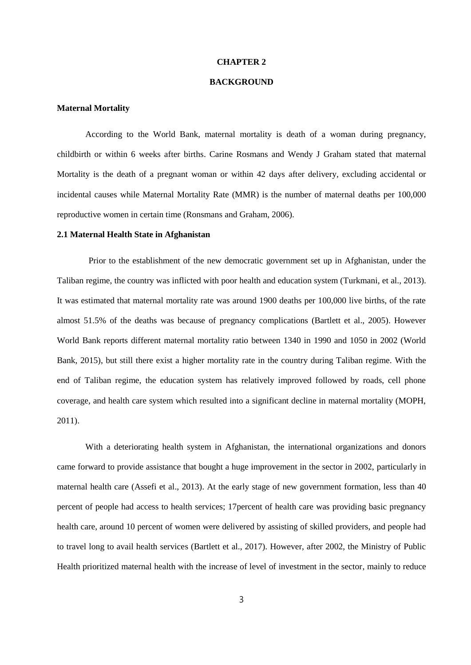#### **CHAPTER 2**

# **BACKGROUND**

# **Maternal Mortality**

According to the World Bank, maternal mortality is death of a woman during pregnancy, childbirth or within 6 weeks after births. Carine Rosmans and Wendy J Graham stated that maternal Mortality is the death of a pregnant woman or within 42 days after delivery, excluding accidental or incidental causes while Maternal Mortality Rate (MMR) is the number of maternal deaths per 100,000 reproductive women in certain time (Ronsmans and Graham, 2006).

#### **2.1 Maternal Health State in Afghanistan**

Prior to the establishment of the new democratic government set up in Afghanistan, under the Taliban regime, the country was inflicted with poor health and education system (Turkmani, et al., 2013). It was estimated that maternal mortality rate was around 1900 deaths per 100,000 live births, of the rate almost 51.5% of the deaths was because of pregnancy complications (Bartlett et al., 2005). However World Bank reports different maternal mortality ratio between 1340 in 1990 and 1050 in 2002 (World Bank, 2015), but still there exist a higher mortality rate in the country during Taliban regime. With the end of Taliban regime, the education system has relatively improved followed by roads, cell phone coverage, and health care system which resulted into a significant decline in maternal mortality (MOPH, 2011).

With a deteriorating health system in Afghanistan, the international organizations and donors came forward to provide assistance that bought a huge improvement in the sector in 2002, particularly in maternal health care (Assefi et al., 2013). At the early stage of new government formation, less than 40 percent of people had access to health services; 17percent of health care was providing basic pregnancy health care, around 10 percent of women were delivered by assisting of skilled providers, and people had to travel long to avail health services (Bartlett et al., 2017). However, after 2002, the Ministry of Public Health prioritized maternal health with the increase of level of investment in the sector, mainly to reduce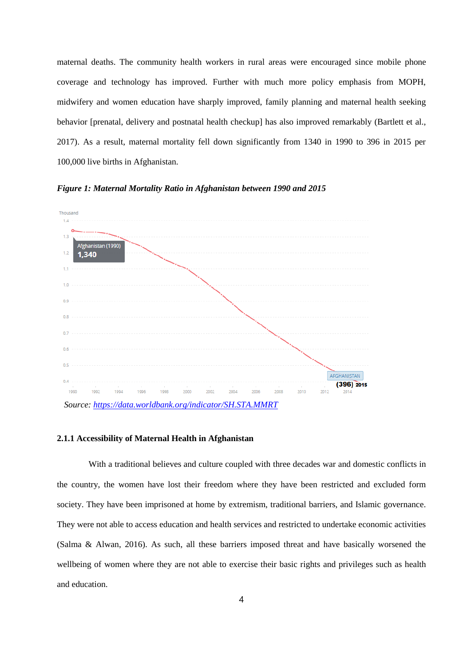maternal deaths. The community health workers in rural areas were encouraged since mobile phone coverage and technology has improved. Further with much more policy emphasis from MOPH, midwifery and women education have sharply improved, family planning and maternal health seeking behavior [prenatal, delivery and postnatal health checkup] has also improved remarkably (Bartlett et al., 2017). As a result, maternal mortality fell down significantly from 1340 in 1990 to 396 in 2015 per 100,000 live births in Afghanistan.

*Figure 1: Maternal Mortality Ratio in Afghanistan between 1990 and 2015*



#### **2.1.1 Accessibility of Maternal Health in Afghanistan**

With a traditional believes and culture coupled with three decades war and domestic conflicts in the country, the women have lost their freedom where they have been restricted and excluded form society. They have been imprisoned at home by extremism, traditional barriers, and Islamic governance. They were not able to access education and health services and restricted to undertake economic activities (Salma & Alwan, 2016). As such, all these barriers imposed threat and have basically worsened the wellbeing of women where they are not able to exercise their basic rights and privileges such as health and education.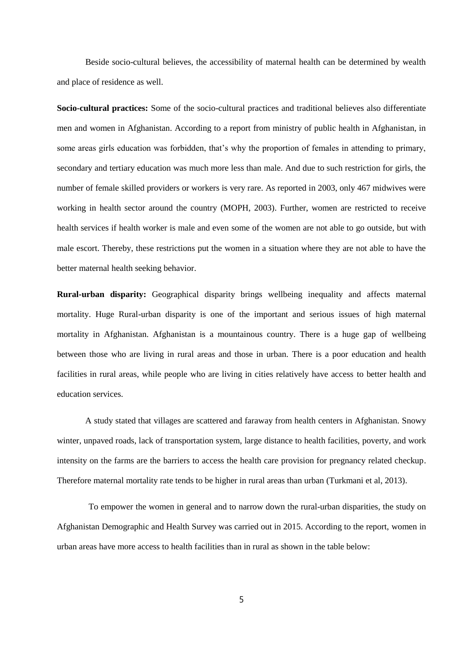Beside socio-cultural believes, the accessibility of maternal health can be determined by wealth and place of residence as well.

**Socio-cultural practices:** Some of the socio-cultural practices and traditional believes also differentiate men and women in Afghanistan. According to a report from ministry of public health in Afghanistan, in some areas girls education was forbidden, that's why the proportion of females in attending to primary, secondary and tertiary education was much more less than male. And due to such restriction for girls, the number of female skilled providers or workers is very rare. As reported in 2003, only 467 midwives were working in health sector around the country (MOPH, 2003). Further, women are restricted to receive health services if health worker is male and even some of the women are not able to go outside, but with male escort. Thereby, these restrictions put the women in a situation where they are not able to have the better maternal health seeking behavior.

**Rural-urban disparity:** Geographical disparity brings wellbeing inequality and affects maternal mortality. Huge Rural-urban disparity is one of the important and serious issues of high maternal mortality in Afghanistan. Afghanistan is a mountainous country. There is a huge gap of wellbeing between those who are living in rural areas and those in urban. There is a poor education and health facilities in rural areas, while people who are living in cities relatively have access to better health and education services.

A study stated that villages are scattered and faraway from health centers in Afghanistan. Snowy winter, unpaved roads, lack of transportation system, large distance to health facilities, poverty, and work intensity on the farms are the barriers to access the health care provision for pregnancy related checkup. Therefore maternal mortality rate tends to be higher in rural areas than urban (Turkmani et al, 2013).

To empower the women in general and to narrow down the rural-urban disparities, the study on Afghanistan Demographic and Health Survey was carried out in 2015. According to the report, women in urban areas have more access to health facilities than in rural as shown in the table below: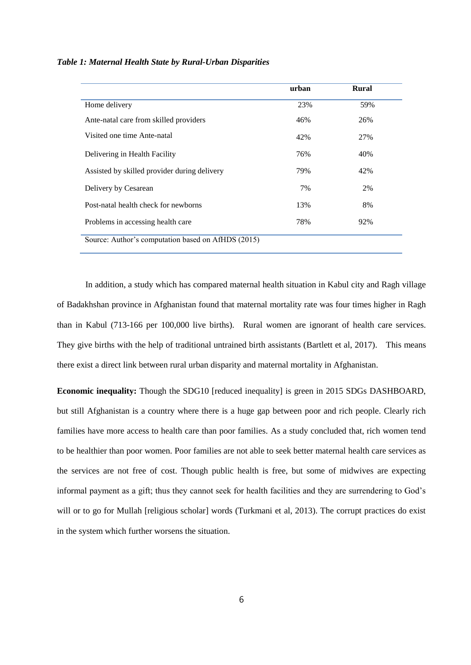|  |  |  | Table 1: Maternal Health State by Rural-Urban Disparities |  |
|--|--|--|-----------------------------------------------------------|--|
|  |  |  |                                                           |  |

|                                                    | urban | <b>Rural</b> |
|----------------------------------------------------|-------|--------------|
| Home delivery                                      | 23%   | 59%          |
| Ante-natal care from skilled providers             | 46%   | 26%          |
| Visited one time Ante-natal                        | 42%   | 27%          |
| Delivering in Health Facility                      | 76%   | 40%          |
| Assisted by skilled provider during delivery       | 79%   | 42%          |
| Delivery by Cesarean                               | 7%    | 2%           |
| Post-natal health check for newborns               | 13%   | 8%           |
| Problems in accessing health care                  | 78%   | 92%          |
| Source: Author's computation based on AfHDS (2015) |       |              |

In addition, a study which has compared maternal health situation in Kabul city and Ragh village of Badakhshan province in Afghanistan found that maternal mortality rate was four times higher in Ragh than in Kabul (713-166 per 100,000 live births). Rural women are ignorant of health care services. They give births with the help of traditional untrained birth assistants (Bartlett et al, 2017). This means there exist a direct link between rural urban disparity and maternal mortality in Afghanistan.

**Economic inequality:** Though the SDG10 [reduced inequality] is green in 2015 SDGs DASHBOARD, but still Afghanistan is a country where there is a huge gap between poor and rich people. Clearly rich families have more access to health care than poor families. As a study concluded that, rich women tend to be healthier than poor women. Poor families are not able to seek better maternal health care services as the services are not free of cost. Though public health is free, but some of midwives are expecting informal payment as a gift; thus they cannot seek for health facilities and they are surrendering to God's will or to go for Mullah [religious scholar] words (Turkmani et al, 2013). The corrupt practices do exist in the system which further worsens the situation.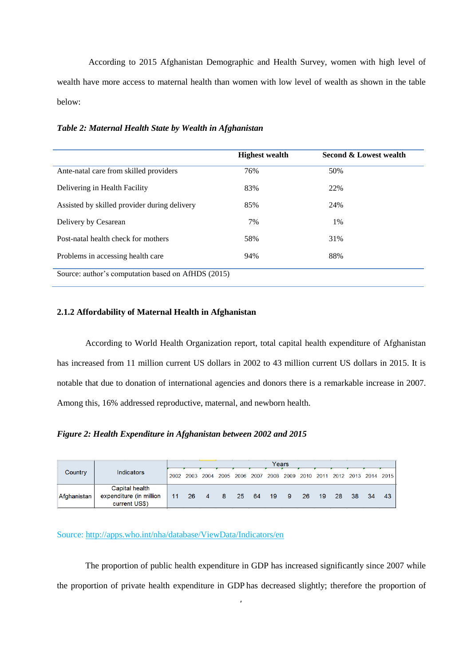According to 2015 Afghanistan Demographic and Health Survey, women with high level of wealth have more access to maternal health than women with low level of wealth as shown in the table below:

|                                                    | <b>Highest wealth</b> | Second & Lowest wealth |
|----------------------------------------------------|-----------------------|------------------------|
| Ante-natal care from skilled providers             | 76%                   | 50%                    |
| Delivering in Health Facility                      | 83%                   | 22%                    |
| Assisted by skilled provider during delivery       | 85%                   | 24%                    |
| Delivery by Cesarean                               | 7%                    | 1%                     |
| Post-natal health check for mothers                | 58%                   | 31%                    |
| Problems in accessing health care                  | 94%                   | 88%                    |
| Source: author's computation based on AfHDS (2015) |                       |                        |

*Table 2: Maternal Health State by Wealth in Afghanistan* 

# **2.1.2 Affordability of Maternal Health in Afghanistan**

According to World Health Organization report, total capital health expenditure of Afghanistan has increased from 11 million current US dollars in 2002 to 43 million current US dollars in 2015. It is notable that due to donation of international agencies and donors there is a remarkable increase in 2007. Among this, 16% addressed reproductive, maternal, and newborn health.

*Figure 2: Health Expenditure in Afghanistan between 2002 and 2015*

|             |                                                            | Years |  |  |  |  |  |  |                                                                       |  |  |                 |
|-------------|------------------------------------------------------------|-------|--|--|--|--|--|--|-----------------------------------------------------------------------|--|--|-----------------|
| Country     | Indicators                                                 |       |  |  |  |  |  |  | 2002 2003 2004 2005 2006 2007 2008 2009 2010 2011 2012 2013 2014 2015 |  |  |                 |
| Afghanistan | Capital health<br>expenditure (in million<br>current US\$) |       |  |  |  |  |  |  | 11  26  4  8  25  64  19  9  26  19  28  38  34                       |  |  | $\overline{43}$ |

Source:<http://apps.who.int/nha/database/ViewData/Indicators/en>

The proportion of public health expenditure in GDP has increased significantly since 2007 while the proportion of private health expenditure in GDP has decreased slightly; therefore the proportion of

7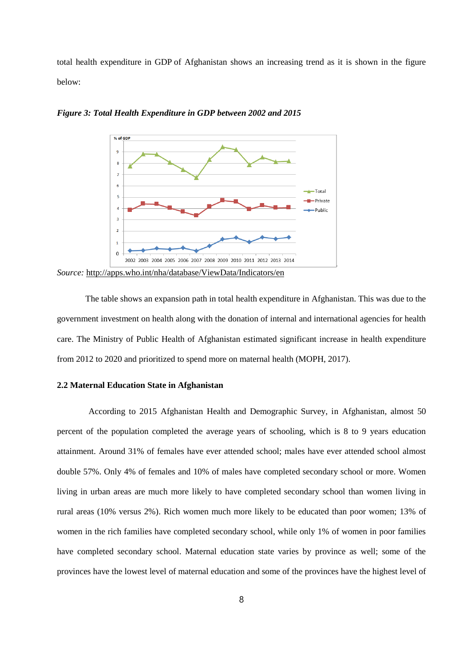total health expenditure in GDP of Afghanistan shows an increasing trend as it is shown in the figure below:



*Figure 3: Total Health Expenditure in GDP between 2002 and 2015*

*Source:* <http://apps.who.int/nha/database/ViewData/Indicators/en>

The table shows an expansion path in total health expenditure in Afghanistan. This was due to the government investment on health along with the donation of internal and international agencies for health care. The Ministry of Public Health of Afghanistan estimated significant increase in health expenditure from 2012 to 2020 and prioritized to spend more on maternal health (MOPH, 2017).

# **2.2 Maternal Education State in Afghanistan**

According to 2015 Afghanistan Health and Demographic Survey, in Afghanistan, almost 50 percent of the population completed the average years of schooling, which is 8 to 9 years education attainment. Around 31% of females have ever attended school; males have ever attended school almost double 57%. Only 4% of females and 10% of males have completed secondary school or more. Women living in urban areas are much more likely to have completed secondary school than women living in rural areas (10% versus 2%). Rich women much more likely to be educated than poor women; 13% of women in the rich families have completed secondary school, while only 1% of women in poor families have completed secondary school. Maternal education state varies by province as well; some of the provinces have the lowest level of maternal education and some of the provinces have the highest level of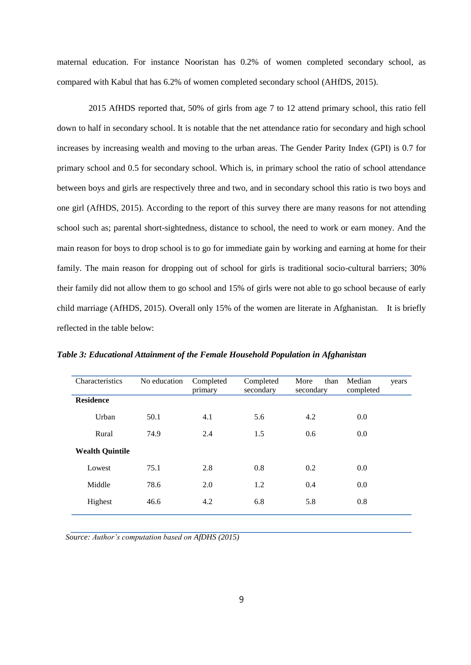maternal education. For instance Nooristan has 0.2% of women completed secondary school, as compared with Kabul that has 6.2% of women completed secondary school (AHfDS, 2015).

2015 AfHDS reported that, 50% of girls from age 7 to 12 attend primary school, this ratio fell down to half in secondary school. It is notable that the net attendance ratio for secondary and high school increases by increasing wealth and moving to the urban areas. The Gender Parity Index (GPI) is 0.7 for primary school and 0.5 for secondary school. Which is, in primary school the ratio of school attendance between boys and girls are respectively three and two, and in secondary school this ratio is two boys and one girl (AfHDS, 2015). According to the report of this survey there are many reasons for not attending school such as; parental short-sightedness, distance to school, the need to work or earn money. And the main reason for boys to drop school is to go for immediate gain by working and earning at home for their family. The main reason for dropping out of school for girls is traditional socio-cultural barriers; 30% their family did not allow them to go school and 15% of girls were not able to go school because of early child marriage (AfHDS, 2015). Overall only 15% of the women are literate in Afghanistan. It is briefly reflected in the table below:

| Characteristics        | No education | Completed<br>primary | Completed<br>secondary | More<br>than<br>secondary | Median<br>completed | years |
|------------------------|--------------|----------------------|------------------------|---------------------------|---------------------|-------|
| <b>Residence</b>       |              |                      |                        |                           |                     |       |
| Urban                  | 50.1         | 4.1                  | 5.6                    | 4.2                       | 0.0                 |       |
| Rural                  | 74.9         | 2.4                  | 1.5                    | 0.6                       | 0.0                 |       |
| <b>Wealth Quintile</b> |              |                      |                        |                           |                     |       |
| Lowest                 | 75.1         | 2.8                  | 0.8                    | 0.2                       | 0.0                 |       |
| Middle                 | 78.6         | 2.0                  | 1.2                    | 0.4                       | 0.0                 |       |
| Highest                | 46.6         | 4.2                  | 6.8                    | 5.8                       | 0.8                 |       |
|                        |              |                      |                        |                           |                     |       |

*Table 3: Educational Attainment of the Female Household Population in Afghanistan* 

*Source: Author's computation based on AfDHS (2015)*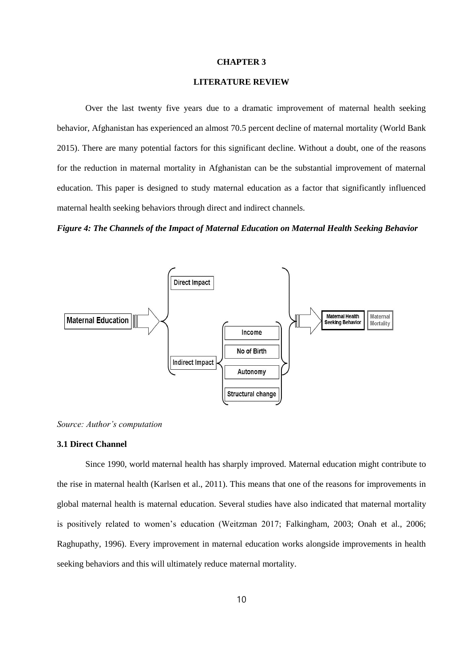#### **CHAPTER 3**

# **LITERATURE REVIEW**

Over the last twenty five years due to a dramatic improvement of maternal health seeking behavior, Afghanistan has experienced an almost 70.5 percent decline of maternal mortality (World Bank 2015). There are many potential factors for this significant decline. Without a doubt, one of the reasons for the reduction in maternal mortality in Afghanistan can be the substantial improvement of maternal education. This paper is designed to study maternal education as a factor that significantly influenced maternal health seeking behaviors through direct and indirect channels.

*Figure 4: The Channels of the Impact of Maternal Education on Maternal Health Seeking Behavior*



*Source: Author's computation* 

# **3.1 Direct Channel**

Since 1990, world maternal health has sharply improved. Maternal education might contribute to the rise in maternal health (Karlsen et al., 2011). This means that one of the reasons for improvements in global maternal health is maternal education. Several studies have also indicated that maternal mortality is positively related to women's education (Weitzman 2017; Falkingham, 2003; Onah et al., 2006; Raghupathy, 1996). Every improvement in maternal education works alongside improvements in health seeking behaviors and this will ultimately reduce maternal mortality.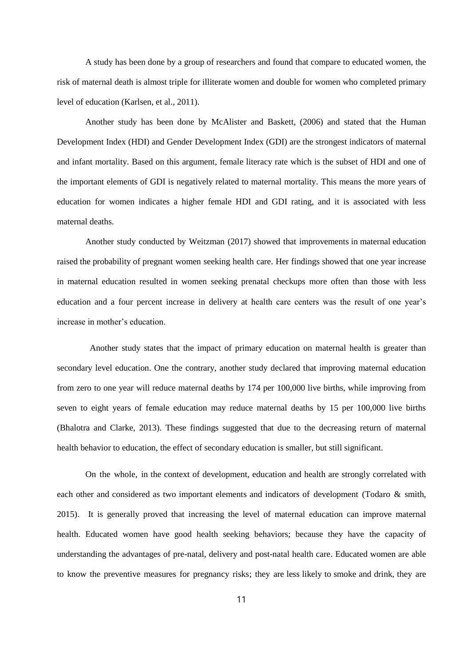A study has been done by a group of researchers and found that compare to educated women, the risk of maternal death is almost triple for illiterate women and double for women who completed primary level of education (Karlsen, et al., 2011).

Another study has been done by McAlister and Baskett, (2006) and stated that the Human Development Index (HDI) and Gender Development Index (GDI) are the strongest indicators of maternal and infant mortality. Based on this argument, female literacy rate which is the subset of HDI and one of the important elements of GDI is negatively related to maternal mortality. This means the more years of education for women indicates a higher female HDI and GDI rating, and it is associated with less maternal deaths.

Another study conducted by Weitzman (2017) showed that improvements in maternal education raised the probability of pregnant women seeking health care. Her findings showed that one year increase in maternal education resulted in women seeking prenatal checkups more often than those with less education and a four percent increase in delivery at health care centers was the result of one year's increase in mother's education.

Another study states that the impact of primary education on maternal health is greater than secondary level education. One the contrary, another study declared that improving maternal education from zero to one year will reduce maternal deaths by 174 per 100,000 live births, while improving from seven to eight years of female education may reduce maternal deaths by 15 per 100,000 live births (Bhalotra and Clarke, 2013). These findings suggested that due to the decreasing return of maternal health behavior to education, the effect of secondary education is smaller, but still significant.

On the whole, in the context of development, education and health are strongly correlated with each other and considered as two important elements and indicators of development (Todaro & smith, 2015). It is generally proved that increasing the level of maternal education can improve maternal health. Educated women have good health seeking behaviors; because they have the capacity of understanding the advantages of pre-natal, delivery and post-natal health care. Educated women are able to know the preventive measures for pregnancy risks; they are less likely to smoke and drink, they are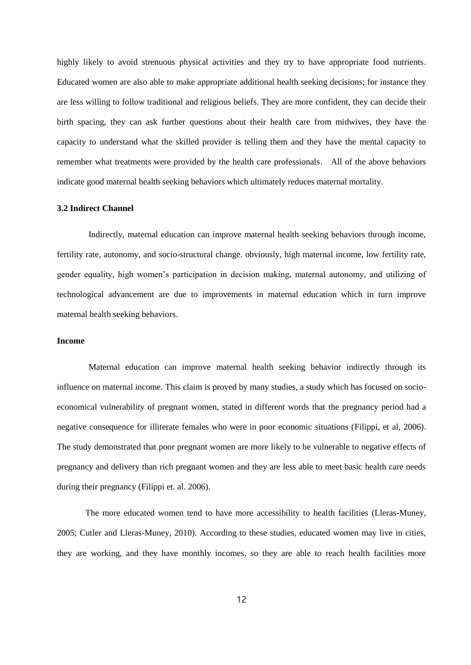highly likely to avoid strenuous physical activities and they try to have appropriate food nutrients. Educated women are also able to make appropriate additional health seeking decisions; for instance they are less willing to follow traditional and religious beliefs. They are more confident, they can decide their birth spacing, they can ask further questions about their health care from midwives, they have the capacity to understand what the skilled provider is telling them and they have the mental capacity to remember what treatments were provided by the health care professionals. All of the above behaviors indicate good maternal health seeking behaviors which ultimately reduces maternal mortality.

#### **3.2 Indirect Channel**

Indirectly, maternal education can improve maternal health seeking behaviors through income, fertility rate, autonomy, and socio-structural change. obviously, high maternal income, low fertility rate, gender equality, high women's participation in decision making, maternal autonomy, and utilizing of technological advancement are due to improvements in maternal education which in turn improve maternal health seeking behaviors.

# **Income**

Maternal education can improve maternal health seeking behavior indirectly through its influence on maternal income. This claim is proved by many studies, a study which has focused on socioeconomical vulnerability of pregnant women, stated in different words that the pregnancy period had a negative consequence for illiterate females who were in poor economic situations (Filippi, et al, 2006). The study demonstrated that poor pregnant women are more likely to be vulnerable to negative effects of pregnancy and delivery than rich pregnant women and they are less able to meet basic health care needs during their pregnancy (Filippi et. al. 2006).

The more educated women tend to have more accessibility to health facilities (Lleras-Muney, 2005; Cutler and Lleras-Muney, 2010). According to these studies, educated women may live in cities, they are working, and they have monthly incomes, so they are able to reach health facilities more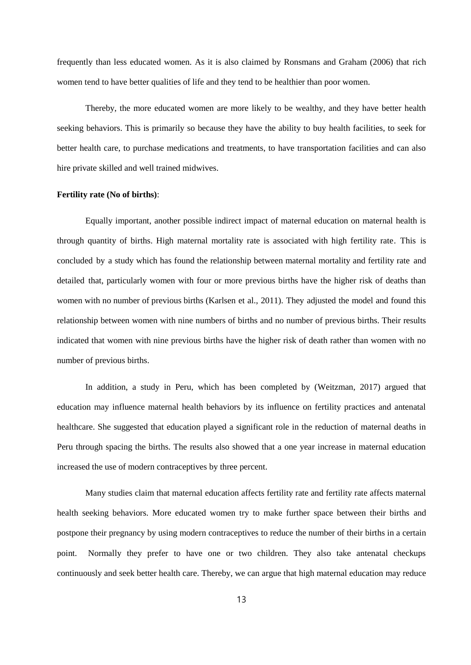frequently than less educated women. As it is also claimed by Ronsmans and Graham (2006) that rich women tend to have better qualities of life and they tend to be healthier than poor women.

Thereby, the more educated women are more likely to be wealthy, and they have better health seeking behaviors. This is primarily so because they have the ability to buy health facilities, to seek for better health care, to purchase medications and treatments, to have transportation facilities and can also hire private skilled and well trained midwives.

#### **Fertility rate (No of births)**:

Equally important, another possible indirect impact of maternal education on maternal health is through quantity of births. High maternal mortality rate is associated with high fertility rate. This is concluded by a study which has found the relationship between maternal mortality and fertility rate and detailed that, particularly women with four or more previous births have the higher risk of deaths than women with no number of previous births (Karlsen et al., 2011). They adjusted the model and found this relationship between women with nine numbers of births and no number of previous births. Their results indicated that women with nine previous births have the higher risk of death rather than women with no number of previous births.

In addition, a study in Peru, which has been completed by (Weitzman, 2017) argued that education may influence maternal health behaviors by its influence on fertility practices and antenatal healthcare. She suggested that education played a significant role in the reduction of maternal deaths in Peru through spacing the births. The results also showed that a one year increase in maternal education increased the use of modern contraceptives by three percent.

Many studies claim that maternal education affects fertility rate and fertility rate affects maternal health seeking behaviors. More educated women try to make further space between their births and postpone their pregnancy by using modern contraceptives to reduce the number of their births in a certain point. Normally they prefer to have one or two children. They also take antenatal checkups continuously and seek better health care. Thereby, we can argue that high maternal education may reduce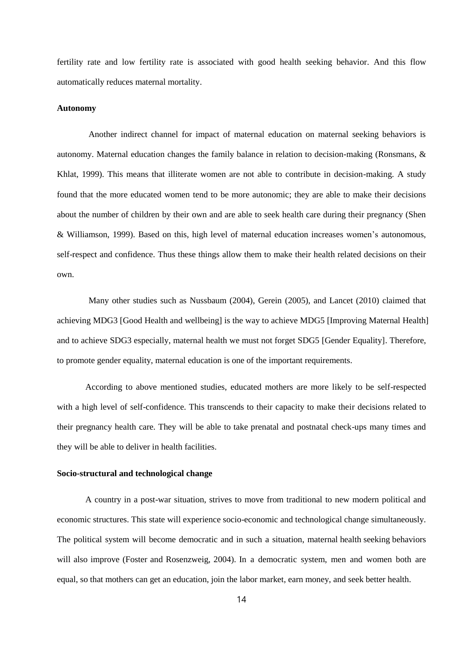fertility rate and low fertility rate is associated with good health seeking behavior. And this flow automatically reduces maternal mortality.

#### **Autonomy**

Another indirect channel for impact of maternal education on maternal seeking behaviors is autonomy. Maternal education changes the family balance in relation to decision-making (Ronsmans, & Khlat, 1999). This means that illiterate women are not able to contribute in decision-making. A study found that the more educated women tend to be more autonomic; they are able to make their decisions about the number of children by their own and are able to seek health care during their pregnancy (Shen & Williamson, 1999). Based on this, high level of maternal education increases women's autonomous, self-respect and confidence. Thus these things allow them to make their health related decisions on their own.

Many other studies such as Nussbaum (2004), Gerein (2005), and Lancet (2010) claimed that achieving MDG3 [Good Health and wellbeing] is the way to achieve MDG5 [Improving Maternal Health] and to achieve SDG3 especially, maternal health we must not forget SDG5 [Gender Equality]. Therefore, to promote gender equality, maternal education is one of the important requirements.

According to above mentioned studies, educated mothers are more likely to be self-respected with a high level of self-confidence. This transcends to their capacity to make their decisions related to their pregnancy health care. They will be able to take prenatal and postnatal check-ups many times and they will be able to deliver in health facilities.

#### **Socio-structural and technological change**

A country in a post-war situation, strives to move from traditional to new modern political and economic structures. This state will experience socio-economic and technological change simultaneously. The political system will become democratic and in such a situation, maternal health seeking behaviors will also improve (Foster and Rosenzweig, 2004). In a democratic system, men and women both are equal, so that mothers can get an education, join the labor market, earn money, and seek better health.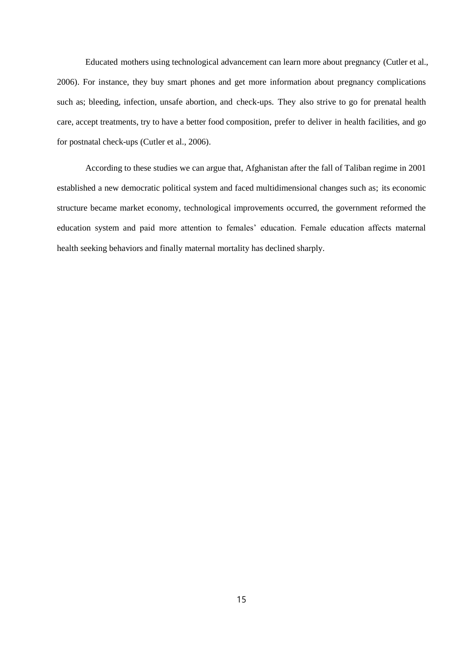Educated mothers using technological advancement can learn more about pregnancy (Cutler et al., 2006). For instance, they buy smart phones and get more information about pregnancy complications such as; bleeding, infection, unsafe abortion, and check-ups. They also strive to go for prenatal health care, accept treatments, try to have a better food composition, prefer to deliver in health facilities, and go for postnatal check-ups (Cutler et al., 2006).

According to these studies we can argue that, Afghanistan after the fall of Taliban regime in 2001 established a new democratic political system and faced multidimensional changes such as; its economic structure became market economy, technological improvements occurred, the government reformed the education system and paid more attention to females' education. Female education affects maternal health seeking behaviors and finally maternal mortality has declined sharply.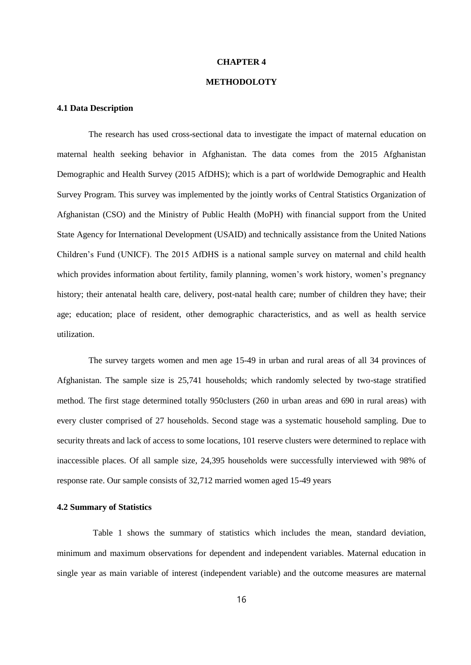#### **CHAPTER 4**

# **METHODOLOTY**

### **4.1 Data Description**

The research has used cross-sectional data to investigate the impact of maternal education on maternal health seeking behavior in Afghanistan. The data comes from the 2015 Afghanistan Demographic and Health Survey (2015 AfDHS); which is a part of worldwide Demographic and Health Survey Program. This survey was implemented by the jointly works of Central Statistics Organization of Afghanistan (CSO) and the Ministry of Public Health (MoPH) with financial support from the United State Agency for International Development (USAID) and technically assistance from the United Nations Children's Fund (UNICF). The 2015 AfDHS is a national sample survey on maternal and child health which provides information about fertility, family planning, women's work history, women's pregnancy history; their antenatal health care, delivery, post-natal health care; number of children they have; their age; education; place of resident, other demographic characteristics, and as well as health service utilization.

The survey targets women and men age 15-49 in urban and rural areas of all 34 provinces of Afghanistan. The sample size is 25,741 households; which randomly selected by two-stage stratified method. The first stage determined totally 950clusters (260 in urban areas and 690 in rural areas) with every cluster comprised of 27 households. Second stage was a systematic household sampling. Due to security threats and lack of access to some locations, 101 reserve clusters were determined to replace with inaccessible places. Of all sample size, 24,395 households were successfully interviewed with 98% of response rate. Our sample consists of 32,712 married women aged 15-49 years

### **4.2 Summary of Statistics**

Table 1 shows the summary of statistics which includes the mean, standard deviation, minimum and maximum observations for dependent and independent variables. Maternal education in single year as main variable of interest (independent variable) and the outcome measures are maternal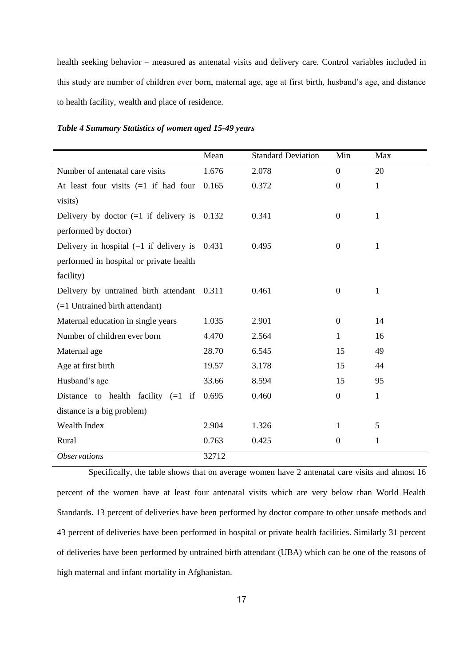health seeking behavior – measured as antenatal visits and delivery care. Control variables included in this study are number of children ever born, maternal age, age at first birth, husband's age, and distance to health facility, wealth and place of residence.

| Table 4 Summary Statistics of women aged 15-49 years |  |  |  |  |
|------------------------------------------------------|--|--|--|--|
|------------------------------------------------------|--|--|--|--|

|                                                 | Mean  | <b>Standard Deviation</b> | Min            | Max          |
|-------------------------------------------------|-------|---------------------------|----------------|--------------|
| Number of antenatal care visits                 | 1.676 | 2.078                     | $\theta$       | 20           |
| At least four visits $(=1$ if had four          | 0.165 | 0.372                     | $\overline{0}$ | $\mathbf{1}$ |
| visits)                                         |       |                           |                |              |
| Delivery by doctor $(=1$ if delivery is 0.132   |       | 0.341                     | $\theta$       | 1            |
| performed by doctor)                            |       |                           |                |              |
| Delivery in hospital $(=1$ if delivery is 0.431 |       | 0.495                     | $\Omega$       | 1            |
| performed in hospital or private health         |       |                           |                |              |
| facility)                                       |       |                           |                |              |
| Delivery by untrained birth attendant 0.311     |       | 0.461                     | $\overline{0}$ | $\mathbf{1}$ |
| $(=1$ Untrained birth attendant)                |       |                           |                |              |
| Maternal education in single years              | 1.035 | 2.901                     | $\Omega$       | 14           |
| Number of children ever born                    | 4.470 | 2.564                     | $\mathbf{1}$   | 16           |
| Maternal age                                    | 28.70 | 6.545                     | 15             | 49           |
| Age at first birth                              | 19.57 | 3.178                     | 15             | 44           |
| Husband's age                                   | 33.66 | 8.594                     | 15             | 95           |
| Distance to health facility $(=1$ if            | 0.695 | 0.460                     | $\overline{0}$ | $\mathbf{1}$ |
| distance is a big problem)                      |       |                           |                |              |
| Wealth Index                                    | 2.904 | 1.326                     | 1              | 5            |
| Rural                                           | 0.763 | 0.425                     | $\overline{0}$ | 1            |
| <i><b>Observations</b></i>                      | 32712 |                           |                |              |

Specifically, the table shows that on average women have 2 antenatal care visits and almost 16 percent of the women have at least four antenatal visits which are very below than World Health Standards. 13 percent of deliveries have been performed by doctor compare to other unsafe methods and 43 percent of deliveries have been performed in hospital or private health facilities. Similarly 31 percent of deliveries have been performed by untrained birth attendant (UBA) which can be one of the reasons of high maternal and infant mortality in Afghanistan.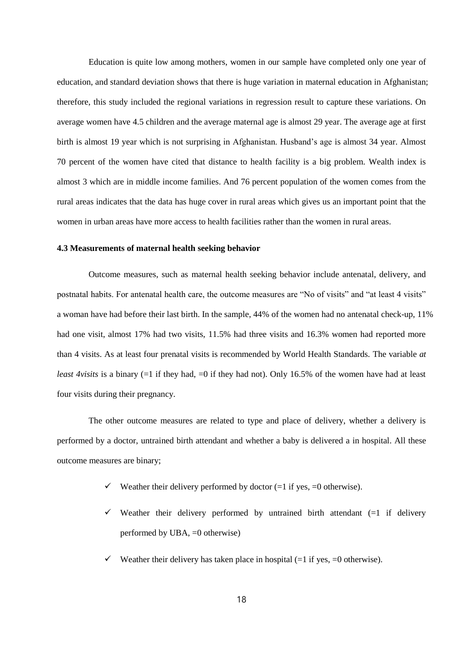Education is quite low among mothers, women in our sample have completed only one year of education, and standard deviation shows that there is huge variation in maternal education in Afghanistan; therefore, this study included the regional variations in regression result to capture these variations. On average women have 4.5 children and the average maternal age is almost 29 year. The average age at first birth is almost 19 year which is not surprising in Afghanistan. Husband's age is almost 34 year. Almost 70 percent of the women have cited that distance to health facility is a big problem. Wealth index is almost 3 which are in middle income families. And 76 percent population of the women comes from the rural areas indicates that the data has huge cover in rural areas which gives us an important point that the women in urban areas have more access to health facilities rather than the women in rural areas.

#### **4.3 Measurements of maternal health seeking behavior**

Outcome measures, such as maternal health seeking behavior include antenatal, delivery, and postnatal habits. For antenatal health care, the outcome measures are "No of visits" and "at least 4 visits" a woman have had before their last birth. In the sample, 44% of the women had no antenatal check-up, 11% had one visit, almost 17% had two visits, 11.5% had three visits and 16.3% women had reported more than 4 visits. As at least four prenatal visits is recommended by World Health Standards. The variable *at least 4visits* is a binary (=1 if they had, =0 if they had not). Only 16.5% of the women have had at least four visits during their pregnancy.

The other outcome measures are related to type and place of delivery, whether a delivery is performed by a doctor, untrained birth attendant and whether a baby is delivered a in hospital. All these outcome measures are binary;

- $\checkmark$  Weather their delivery performed by doctor (=1 if yes, =0 otherwise).
- $\checkmark$  Weather their delivery performed by untrained birth attendant (=1 if delivery performed by UBA, =0 otherwise)
- Weather their delivery has taken place in hospital  $(=1 \text{ if yes, } =0 \text{ otherwise}).$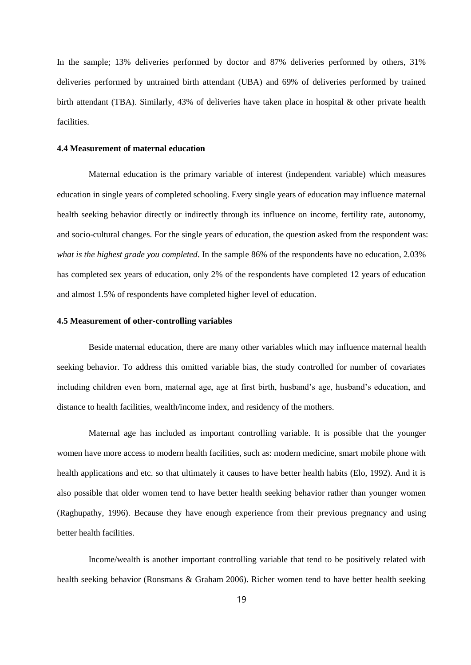In the sample; 13% deliveries performed by doctor and 87% deliveries performed by others, 31% deliveries performed by untrained birth attendant (UBA) and 69% of deliveries performed by trained birth attendant (TBA). Similarly, 43% of deliveries have taken place in hospital & other private health facilities.

#### **4.4 Measurement of maternal education**

Maternal education is the primary variable of interest (independent variable) which measures education in single years of completed schooling. Every single years of education may influence maternal health seeking behavior directly or indirectly through its influence on income, fertility rate, autonomy, and socio-cultural changes. For the single years of education, the question asked from the respondent was: *what is the highest grade you completed*. In the sample 86% of the respondents have no education, 2.03% has completed sex years of education, only 2% of the respondents have completed 12 years of education and almost 1.5% of respondents have completed higher level of education.

#### **4.5 Measurement of other-controlling variables**

Beside maternal education, there are many other variables which may influence maternal health seeking behavior. To address this omitted variable bias, the study controlled for number of covariates including children even born, maternal age, age at first birth, husband's age, husband's education, and distance to health facilities, wealth/income index, and residency of the mothers.

Maternal age has included as important controlling variable. It is possible that the younger women have more access to modern health facilities, such as: modern medicine, smart mobile phone with health applications and etc. so that ultimately it causes to have better health habits (Elo, 1992). And it is also possible that older women tend to have better health seeking behavior rather than younger women (Raghupathy, 1996). Because they have enough experience from their previous pregnancy and using better health facilities.

Income/wealth is another important controlling variable that tend to be positively related with health seeking behavior (Ronsmans & Graham 2006). Richer women tend to have better health seeking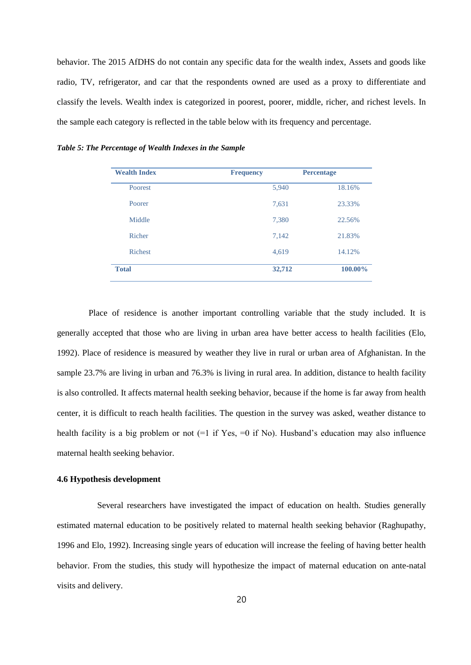behavior. The 2015 AfDHS do not contain any specific data for the wealth index, Assets and goods like radio, TV, refrigerator, and car that the respondents owned are used as a proxy to differentiate and classify the levels. Wealth index is categorized in poorest, poorer, middle, richer, and richest levels. In the sample each category is reflected in the table below with its frequency and percentage.

| <b>Wealth Index</b> | <b>Frequency</b> | <b>Percentage</b> |
|---------------------|------------------|-------------------|
| Poorest             | 5,940            | 18.16%            |
| Poorer              | 7,631            | 23.33%            |
| Middle              | 7,380            | 22.56%            |
| Richer              | 7,142            | 21.83%            |
| <b>Richest</b>      | 4,619            | 14.12%            |
| <b>Total</b>        | 32,712           | 100.00%           |

*Table 5: The Percentage of Wealth Indexes in the Sample*

Place of residence is another important controlling variable that the study included. It is generally accepted that those who are living in urban area have better access to health facilities (Elo, 1992). Place of residence is measured by weather they live in rural or urban area of Afghanistan. In the sample 23.7% are living in urban and 76.3% is living in rural area. In addition, distance to health facility is also controlled. It affects maternal health seeking behavior, because if the home is far away from health center, it is difficult to reach health facilities. The question in the survey was asked, weather distance to health facility is a big problem or not (=1 if Yes, =0 if No). Husband's education may also influence maternal health seeking behavior.

# **4.6 Hypothesis development**

Several researchers have investigated the impact of education on health. Studies generally estimated maternal education to be positively related to maternal health seeking behavior (Raghupathy, 1996 and Elo, 1992). Increasing single years of education will increase the feeling of having better health behavior. From the studies, this study will hypothesize the impact of maternal education on ante-natal visits and delivery.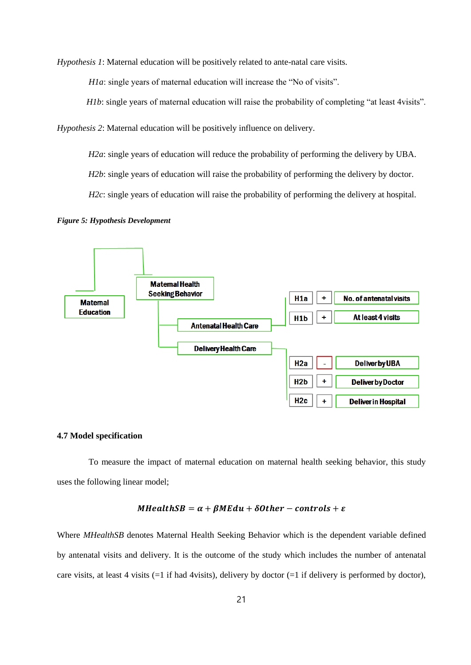*Hypothesis 1*: Maternal education will be positively related to ante-natal care visits.

*H1a*: single years of maternal education will increase the "No of visits".

*H1b*: single years of maternal education will raise the probability of completing "at least 4visits".

*Hypothesis 2*: Maternal education will be positively influence on delivery.

*H2a*: single years of education will reduce the probability of performing the delivery by UBA.

*H2b*: single years of education will raise the probability of performing the delivery by doctor.

*H2c*: single years of education will raise the probability of performing the delivery at hospital.

*Figure 5: Hypothesis Development*



# **4.7 Model specification**

To measure the impact of maternal education on maternal health seeking behavior, this study uses the following linear model;

## $MHealthSB = \alpha + \beta MEdu + \delta Other - controls + \varepsilon$

Where *MHealthSB* denotes Maternal Health Seeking Behavior which is the dependent variable defined by antenatal visits and delivery. It is the outcome of the study which includes the number of antenatal care visits, at least 4 visits  $(=1 \text{ if had 4visits})$ , delivery by doctor  $(=1 \text{ if delivery is performed by doctor})$ ,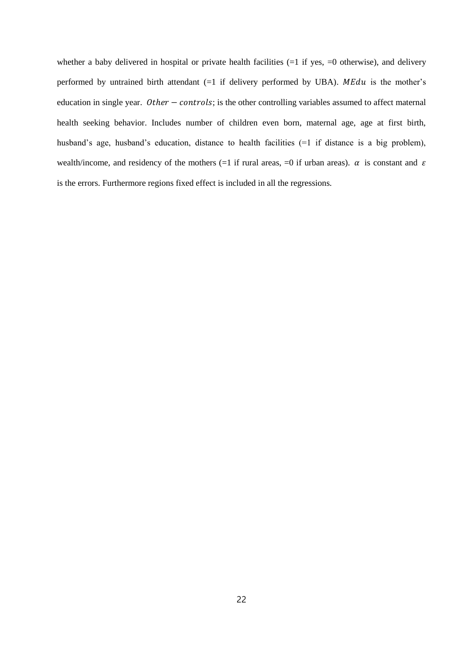whether a baby delivered in hospital or private health facilities  $(=1 \text{ if yes}, =0 \text{ otherwise})$ , and delivery performed by untrained birth attendant  $(=1$  if delivery performed by UBA). MEdu is the mother's education in single year.  $Other - controls$ ; is the other controlling variables assumed to affect maternal health seeking behavior. Includes number of children even born, maternal age, age at first birth, husband's age, husband's education, distance to health facilities (=1 if distance is a big problem), wealth/income, and residency of the mothers (=1 if rural areas, =0 if urban areas).  $\alpha$  is constant and  $\varepsilon$ is the errors. Furthermore regions fixed effect is included in all the regressions.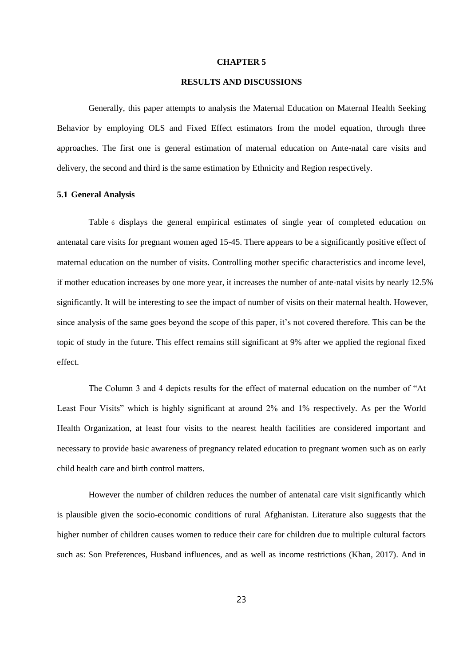#### **CHAPTER 5**

# **RESULTS AND DISCUSSIONS**

Generally, this paper attempts to analysis the Maternal Education on Maternal Health Seeking Behavior by employing OLS and Fixed Effect estimators from the model equation, through three approaches. The first one is general estimation of maternal education on Ante-natal care visits and delivery, the second and third is the same estimation by Ethnicity and Region respectively.

#### **5.1 General Analysis**

Table 6 displays the general empirical estimates of single year of completed education on antenatal care visits for pregnant women aged 15-45. There appears to be a significantly positive effect of maternal education on the number of visits. Controlling mother specific characteristics and income level, if mother education increases by one more year, it increases the number of ante-natal visits by nearly 12.5% significantly. It will be interesting to see the impact of number of visits on their maternal health. However, since analysis of the same goes beyond the scope of this paper, it's not covered therefore. This can be the topic of study in the future. This effect remains still significant at 9% after we applied the regional fixed effect.

The Column 3 and 4 depicts results for the effect of maternal education on the number of "At Least Four Visits" which is highly significant at around 2% and 1% respectively. As per the World Health Organization, at least four visits to the nearest health facilities are considered important and necessary to provide basic awareness of pregnancy related education to pregnant women such as on early child health care and birth control matters.

However the number of children reduces the number of antenatal care visit significantly which is plausible given the socio-economic conditions of rural Afghanistan. Literature also suggests that the higher number of children causes women to reduce their care for children due to multiple cultural factors such as: Son Preferences, Husband influences, and as well as income restrictions (Khan, 2017). And in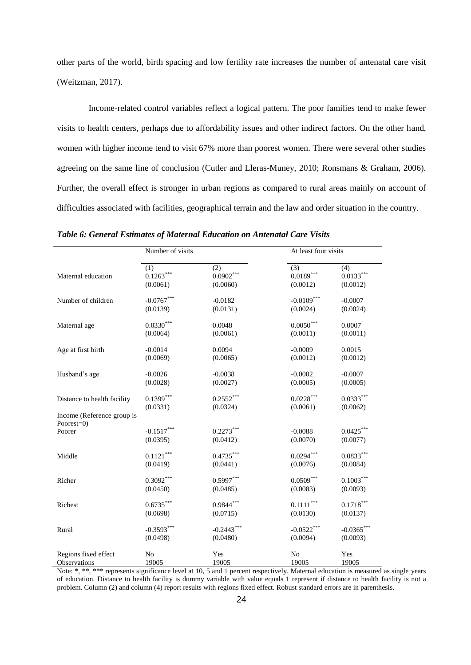other parts of the world, birth spacing and low fertility rate increases the number of antenatal care visit (Weitzman, 2017).

Income-related control variables reflect a logical pattern. The poor families tend to make fewer visits to health centers, perhaps due to affordability issues and other indirect factors. On the other hand, women with higher income tend to visit 67% more than poorest women. There were several other studies agreeing on the same line of conclusion (Cutler and Lleras-Muney, 2010; Ronsmans & Graham, 2006). Further, the overall effect is stronger in urban regions as compared to rural areas mainly on account of difficulties associated with facilities, geographical terrain and the law and order situation in the country.

|                                          | Number of visits |              | At least four visits    |              |
|------------------------------------------|------------------|--------------|-------------------------|--------------|
|                                          | (1)              | (2)          | $\overline{(3)}$        | (4)          |
| Maternal education                       | $0.1263***$      | $0.0902**$   | $0.0189**$              | $0.0133***$  |
|                                          | (0.0061)         | (0.0060)     | (0.0012)                | (0.0012)     |
| Number of children                       | $-0.0767***$     | $-0.0182$    | $-0.0109***$            | $-0.0007$    |
|                                          | (0.0139)         | (0.0131)     | (0.0024)                | (0.0024)     |
| Maternal age                             | $0.0330^{***}$   | 0.0048       | $0.0050^{\ast\ast\ast}$ | 0.0007       |
|                                          | (0.0064)         | (0.0061)     | (0.0011)                | (0.0011)     |
| Age at first birth                       | $-0.0014$        | 0.0094       | $-0.0009$               | 0.0015       |
|                                          | (0.0069)         | (0.0065)     | (0.0012)                | (0.0012)     |
| Husband's age                            | $-0.0026$        | $-0.0038$    | $-0.0002$               | $-0.0007$    |
|                                          | (0.0028)         | (0.0027)     | (0.0005)                | (0.0005)     |
| Distance to health facility              | $0.1399***$      | $0.2552***$  | $0.0228***$             | $0.0333***$  |
|                                          | (0.0331)         | (0.0324)     | (0.0061)                | (0.0062)     |
| Income (Reference group is<br>Poorest=0) |                  |              |                         |              |
| Poorer                                   | $-0.1517***$     | $0.2273***$  | $-0.0088$               | $0.0425***$  |
|                                          | (0.0395)         | (0.0412)     | (0.0070)                | (0.0077)     |
| Middle                                   | $0.1121***$      | $0.4735***$  | $0.0294***$             | $0.0833***$  |
|                                          | (0.0419)         | (0.0441)     | (0.0076)                | (0.0084)     |
| Richer                                   | $0.3092***$      | $0.5997***$  | $0.0509***$             | $0.1003***$  |
|                                          | (0.0450)         | (0.0485)     | (0.0083)                | (0.0093)     |
| Richest                                  | $0.6735***$      | $0.9844***$  | $0.1111***$             | $0.1718***$  |
|                                          | (0.0698)         | (0.0715)     | (0.0130)                | (0.0137)     |
| Rural                                    | $-0.3593***$     | $-0.2443***$ | $-0.0522***$            | $-0.0365***$ |
|                                          | (0.0498)         | (0.0480)     | (0.0094)                | (0.0093)     |
| Regions fixed effect                     | N <sub>o</sub>   | Yes          | N <sub>o</sub>          | Yes          |
| Observations                             | 19005            | 19005        | 19005                   | 19005        |

*Table 6: General Estimates of Maternal Education on Antenatal Care Visits*

Note: \*, \*\*, \*\*\* represents significance level at 10, 5 and 1 percent respectively. Maternal education is measured as single years of education. Distance to health facility is dummy variable with value equals 1 represent if distance to health facility is not a problem. Column (2) and column (4) report results with regions fixed effect. Robust standard errors are in parenthesis.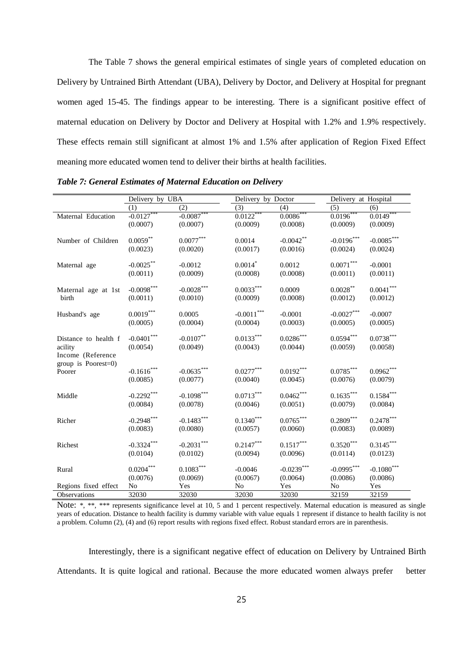The Table 7 shows the general empirical estimates of single years of completed education on Delivery by Untrained Birth Attendant (UBA), Delivery by Doctor, and Delivery at Hospital for pregnant women aged 15-45. The findings appear to be interesting. There is a significant positive effect of maternal education on Delivery by Doctor and Delivery at Hospital with 1.2% and 1.9% respectively. These effects remain still significant at almost 1% and 1.5% after application of Region Fixed Effect meaning more educated women tend to deliver their births at health facilities.

| Delivery by UBA<br>(2)<br>$-0.0087$ ***<br>$-0.0127***$<br>(0.0007)<br>(0.0007) | (3)<br>$0.0122$ ***<br>(0.0009)                                                                                                                                                                                                                                                                                         | Delivery by Doctor<br>(4)<br>$0.0086$ ***                                                                   | Delivery at Hospital<br>(5)<br>$0.0196$ ***                                                                                                                    | (6)                      |
|---------------------------------------------------------------------------------|-------------------------------------------------------------------------------------------------------------------------------------------------------------------------------------------------------------------------------------------------------------------------------------------------------------------------|-------------------------------------------------------------------------------------------------------------|----------------------------------------------------------------------------------------------------------------------------------------------------------------|--------------------------|
|                                                                                 |                                                                                                                                                                                                                                                                                                                         |                                                                                                             |                                                                                                                                                                |                          |
|                                                                                 |                                                                                                                                                                                                                                                                                                                         | (0.0008)                                                                                                    | (0.0009)                                                                                                                                                       | $0.0149***$<br>(0.0009)  |
| (0.0020)                                                                        | 0.0014<br>(0.0017)                                                                                                                                                                                                                                                                                                      | $-0.0042**$<br>(0.0016)                                                                                     | $-0.0196***$<br>(0.0024)                                                                                                                                       | $-0.0085***$<br>(0.0024) |
| $-0.0012$<br>(0.0009)                                                           | $0.0014$ *<br>(0.0008)                                                                                                                                                                                                                                                                                                  | 0.0012<br>(0.0008)                                                                                          | $0.0071^{\ast\ast\ast}$<br>(0.0011)                                                                                                                            | $-0.0001$<br>(0.0011)    |
| (0.0010)                                                                        | (0.0009)                                                                                                                                                                                                                                                                                                                | 0.0009<br>(0.0008)                                                                                          | $0.0028***$<br>(0.0012)                                                                                                                                        | $0.0041***$<br>(0.0012)  |
| 0.0005<br>(0.0004)                                                              | (0.0004)                                                                                                                                                                                                                                                                                                                | $-0.0001$<br>(0.0003)                                                                                       | $-0.0027***$<br>(0.0005)                                                                                                                                       | $-0.0007$<br>(0.0005)    |
| $-0.0107**$<br>(0.0049)                                                         | (0.0043)                                                                                                                                                                                                                                                                                                                | $0.0286\sp{*}{^\ast\sp{*}}$<br>(0.0044)                                                                     | $0.0594^{\ast\ast\ast}$<br>(0.0059)                                                                                                                            | $0.0738***$<br>(0.0058)  |
| (0.0077)                                                                        | (0.0040)                                                                                                                                                                                                                                                                                                                | $0.0192***$<br>(0.0045)                                                                                     | $0.0785***$<br>(0.0076)                                                                                                                                        | $0.0962***$<br>(0.0079)  |
| (0.0078)                                                                        | (0.0046)                                                                                                                                                                                                                                                                                                                | $0.0462^{\ast\ast\ast}$<br>(0.0051)                                                                         | $0.1635^{\ast\ast\ast}$<br>(0.0079)                                                                                                                            | $0.1584***$<br>(0.0084)  |
| (0.0080)                                                                        | (0.0057)                                                                                                                                                                                                                                                                                                                | $0.0765^{\ast\ast\ast}$<br>(0.0060)                                                                         | $0.2809^{***}$<br>(0.0083)                                                                                                                                     | $0.2478***$<br>(0.0089)  |
| (0.0102)                                                                        | (0.0094)                                                                                                                                                                                                                                                                                                                | $0.1517^{\ast\ast\ast}$<br>(0.0096)                                                                         | $0.3520^{\ast\ast\ast}$<br>(0.0114)                                                                                                                            | $0.3145***$<br>(0.0123)  |
| $0.1083***$<br>(0.0069)                                                         | $-0.0046$<br>(0.0067)                                                                                                                                                                                                                                                                                                   | $-0.0239***$<br>(0.0064)                                                                                    | $-0.0995***$<br>(0.0086)                                                                                                                                       | $-0.1080***$<br>(0.0086) |
| Yes                                                                             | No                                                                                                                                                                                                                                                                                                                      | Yes                                                                                                         | No                                                                                                                                                             | Yes<br>32159             |
|                                                                                 | $0.0077^{\ast\ast\ast}$<br>$0.0059***$<br>(0.0023)<br>$-0.0025***$<br>(0.0011)<br>$-0.0098***$<br>(0.0011)<br>$0.0019^{***}\,$<br>(0.0005)<br>$-0.0401^{***}\,$<br>(0.0054)<br>$-0.1616***$<br>(0.0085)<br>$-0.2292***$<br>(0.0084)<br>$-0.2948$ ***<br>(0.0083)<br>$-0.3324***$<br>(0.0104)<br>$0.0204***$<br>(0.0076) | $-0.0028***$<br>$-0.0635***$<br>$-0.1098$ ***<br>$-0.1483***$<br>$\textbf{-0.2031}^{***}$<br>32030<br>32030 | $0.0033^{***}$<br>$-0.0011^{***}\,$<br>$0.0133^{***}$<br>$0.0277***$<br>$0.0713^{\ast\ast\ast}$<br>$0.1340^{\ast\ast\ast}$<br>$0.2147^{\ast\ast\ast}$<br>32030 | 32030<br>32159           |

*Table 7: General Estimates of Maternal Education on Delivery*

Note: \*, \*\*, \*\*\* represents significance level at 10, 5 and 1 percent respectively. Maternal education is measured as single years of education. Distance to health facility is dummy variable with value equals 1 represent if distance to health facility is not a problem. Column (2), (4) and (6) report results with regions fixed effect. Robust standard errors are in parenthesis.

Interestingly, there is a significant negative effect of education on Delivery by Untrained Birth Attendants. It is quite logical and rational. Because the more educated women always prefer better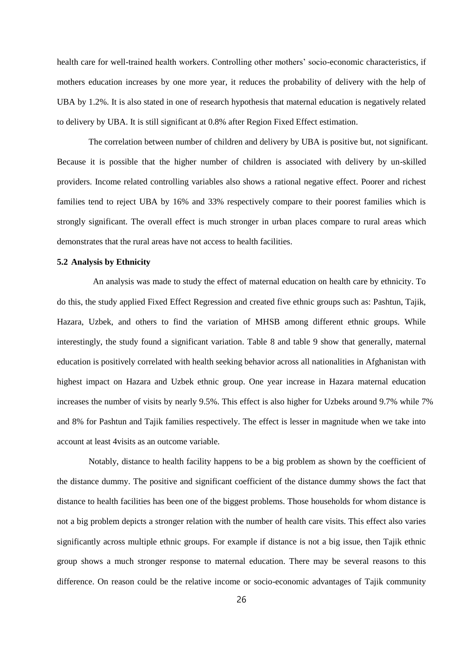health care for well-trained health workers. Controlling other mothers' socio-economic characteristics, if mothers education increases by one more year, it reduces the probability of delivery with the help of UBA by 1.2%. It is also stated in one of research hypothesis that maternal education is negatively related to delivery by UBA. It is still significant at 0.8% after Region Fixed Effect estimation.

The correlation between number of children and delivery by UBA is positive but, not significant. Because it is possible that the higher number of children is associated with delivery by un-skilled providers. Income related controlling variables also shows a rational negative effect. Poorer and richest families tend to reject UBA by 16% and 33% respectively compare to their poorest families which is strongly significant. The overall effect is much stronger in urban places compare to rural areas which demonstrates that the rural areas have not access to health facilities.

### **5.2 Analysis by Ethnicity**

An analysis was made to study the effect of maternal education on health care by ethnicity. To do this, the study applied Fixed Effect Regression and created five ethnic groups such as: Pashtun, Tajik, Hazara, Uzbek, and others to find the variation of MHSB among different ethnic groups. While interestingly, the study found a significant variation. Table 8 and table 9 show that generally, maternal education is positively correlated with health seeking behavior across all nationalities in Afghanistan with highest impact on Hazara and Uzbek ethnic group. One year increase in Hazara maternal education increases the number of visits by nearly 9.5%. This effect is also higher for Uzbeks around 9.7% while 7% and 8% for Pashtun and Tajik families respectively. The effect is lesser in magnitude when we take into account at least 4visits as an outcome variable.

Notably, distance to health facility happens to be a big problem as shown by the coefficient of the distance dummy. The positive and significant coefficient of the distance dummy shows the fact that distance to health facilities has been one of the biggest problems. Those households for whom distance is not a big problem depicts a stronger relation with the number of health care visits. This effect also varies significantly across multiple ethnic groups. For example if distance is not a big issue, then Tajik ethnic group shows a much stronger response to maternal education. There may be several reasons to this difference. On reason could be the relative income or socio-economic advantages of Tajik community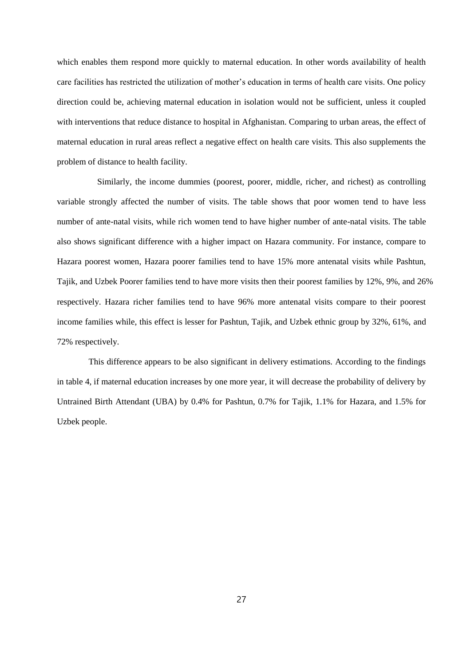which enables them respond more quickly to maternal education. In other words availability of health care facilities has restricted the utilization of mother's education in terms of health care visits. One policy direction could be, achieving maternal education in isolation would not be sufficient, unless it coupled with interventions that reduce distance to hospital in Afghanistan. Comparing to urban areas, the effect of maternal education in rural areas reflect a negative effect on health care visits. This also supplements the problem of distance to health facility.

 Similarly, the income dummies (poorest, poorer, middle, richer, and richest) as controlling variable strongly affected the number of visits. The table shows that poor women tend to have less number of ante-natal visits, while rich women tend to have higher number of ante-natal visits. The table also shows significant difference with a higher impact on Hazara community. For instance, compare to Hazara poorest women, Hazara poorer families tend to have 15% more antenatal visits while Pashtun, Tajik, and Uzbek Poorer families tend to have more visits then their poorest families by 12%, 9%, and 26% respectively. Hazara richer families tend to have 96% more antenatal visits compare to their poorest income families while, this effect is lesser for Pashtun, Tajik, and Uzbek ethnic group by 32%, 61%, and 72% respectively.

This difference appears to be also significant in delivery estimations. According to the findings in table 4, if maternal education increases by one more year, it will decrease the probability of delivery by Untrained Birth Attendant (UBA) by 0.4% for Pashtun, 0.7% for Tajik, 1.1% for Hazara, and 1.5% for Uzbek people.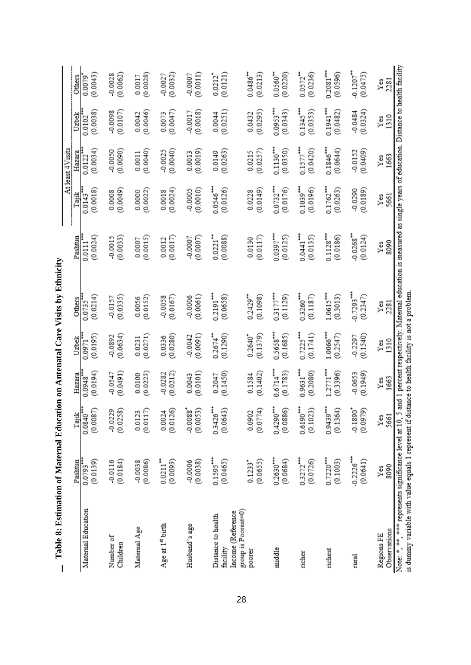| The c. Exempts of Material Drawnian Political Care Visits of Philippine                                                                                |                         |                         |                            |                                    |                                     |                                                                                          |                       | At least 4Visits   |                    |                                   |
|--------------------------------------------------------------------------------------------------------------------------------------------------------|-------------------------|-------------------------|----------------------------|------------------------------------|-------------------------------------|------------------------------------------------------------------------------------------|-----------------------|--------------------|--------------------|-----------------------------------|
|                                                                                                                                                        | Pashtun                 | Tajik                   | Hazara                     | Uzbek                              | <b>Others</b>                       | Pashtun                                                                                  | Tajik                 | Hazara             | Uzbek              | Others                            |
| Maternal Education                                                                                                                                     | $0.0793$ ***            | $0.0840$ <sup>***</sup> | (0.0194)                   | (0.0195)                           | $0.0735***$                         | (0.0024)                                                                                 | (0.0018)              | (0.0034)           | (0.0038)           | (0.0043)                          |
|                                                                                                                                                        | (0.0139)                | (0.0087)                | 0.0948                     | 0.0971                             | (0.0214)                            | 0.0111                                                                                   | $0.0143$ <sup>*</sup> | 0.0122             | 0.0102             | 0.0079                            |
| Number of                                                                                                                                              | (0.0184)                | (0.0258)                | (0.0491)                   | (0.0634)                           | (0.0335)                            | $-0.0015$                                                                                | (0.0049)              | (0.0090)           | (0.0107)           | (0.0062)                          |
| Children                                                                                                                                               | $-0.0116$               | $-0.0229$               | $-0.0547$                  | $-0.0892$                          | $-0.0157$                           | (0.0033)                                                                                 | 0.0008                | $-0.0050$          | $-0.0098$          | $-0.0028$                         |
| Maternal Age                                                                                                                                           | (0.0086)                | (0.0117)                | (0.0223)                   | (0.0271)                           | (0.0152)                            | (0.0015)                                                                                 | (0.0022)              | (0.0040)           | (0.0046)           | (0.0028)                          |
|                                                                                                                                                        | $-0.0038$               | 0.0123                  | 0.0100                     | 0.0231                             | 0.0056                              | 0.0007                                                                                   | 0.0000                | 0.0011             | 0.0042             | 0.0017                            |
| Age at 1st birth                                                                                                                                       | $0.0211$ <sup>**</sup>  | (0.0126)                | (0.0212)                   | (0.0280)                           | -0.0058                             | (0.0017)                                                                                 | (0.0024)              | (0.0040)           | (0.0047)           | (0.0032)                          |
|                                                                                                                                                        | (0.0093)                | 0.0024                  | $-0.0282$                  | 0.0336                             | (0.0167)                            | 0.0012                                                                                   | 0.0018                | $-0.0025$          | 0.0073             | $-0.0027$                         |
| Husband's age                                                                                                                                          | (0.0038)                | $-0.0088$ <sup>*</sup>  | (0.0101)                   | (0.0091)                           | (0.0061)                            | (0.0007)                                                                                 | (0.0010)              | (0.0019)           | (0.0018)           | (0.0011)                          |
|                                                                                                                                                        | $-0.0006$               | (0.0053)                | 0.0043                     | $-0.0042$                          | $-0.0006$                           | $-0.0007$                                                                                | $-0.0005$             | 0.0013             | $-0.0017$          | $-0.0007$                         |
| Income (Reference<br>Distance to health<br>facility                                                                                                    | $0.1595***$<br>(0.0465) | $0.3426***$<br>(0.0643) | (0.1450)<br>0.2047         | $0.2674$ <sup>**</sup><br>(0.1290) | $0.2191$ <sup>***</sup><br>(0.0658) | $0.0221$ <sup>**</sup><br>(0.0088)                                                       | 0.0546***<br>(0.0126) | (0.0263)<br>0.0149 | (0.0251)<br>0.0044 | (0.0121)<br>$0.0212$ <sup>*</sup> |
| group is Poorest=0)                                                                                                                                    | (0.0655)                | (0.0774)                | (0.1402)                   | 0.2640*                            | $0.2429**$                          | (0.0117)                                                                                 | (0.0149)              | (0.0257)           | (0.0295)           | $0.0486$ <sup>**</sup>            |
| poorer                                                                                                                                                 | $0.1233$ <sup>*</sup>   | 0.0902                  | 0.1584                     | (0.1379)                           | (0.1098)                            | 0.0130                                                                                   | 0.0228                | 0.0215             | 0.0432             | (0.0213)                          |
| middle                                                                                                                                                 | $0.2630***$             | $0.4290***$             | 0.6714***                  | $0.5658***$                        | $0.3177***$                         | $0.0397***$                                                                              | $0.0732***$           | $0.1130***$        | $0.0953***$        | $0.0560**$                        |
|                                                                                                                                                        | (0.0684)                | (0.0886)                | (0.1783)                   | (0.1685)                           | (0.1129)                            | (0.0125)                                                                                 | (0.0176)              | (0.0350)           | (0.0343)           | (0.0220)                          |
| richer                                                                                                                                                 | $0.3272***$             | 0.6190                  | 0.9631***                  | $0.7225***$                        | $0.3260***$                         | 0.0441***                                                                                | $0.1039***$           | $0.1577***$        | $0.1345***$        | $0.0572$ <sup>**</sup>            |
|                                                                                                                                                        | (0.0726)                | (0.1023)                | (0.2080)                   | (0.1741)                           | (0.1187)                            | (0.0135)                                                                                 | (0.0196)              | (0.0420)           | (0.0353)           | (0.0236)                          |
| richest                                                                                                                                                | $0.7220***$             | $0.9439***$             | 1.2771***                  | 1.0066***                          | $1.0615***$                         | $0.1128***$                                                                              | $0.1762$ ***          | 0.1846             | 0.1941***          | $0.2081***$                       |
|                                                                                                                                                        | (0.1003)                | (0.1364)                | (0.3396)                   | (0.2547)                           | (0.3013)                            | (0.0186)                                                                                 | (0.0263)              | (0.0644)           | (0.0482)           | (0.0596)                          |
| rural                                                                                                                                                  | $-0.2226***$            | $-0.1890$ <sup>*</sup>  | (0.1949)                   | (0.1540)                           | $0.7293$ ***                        | $-0.0268$ <sup>**</sup>                                                                  | (0.0189)              | (0.0409)           | (0.0324)           | $-0.1207$ <sup>**</sup>           |
|                                                                                                                                                        | (0.0641)                | (0.0979)                | 0.0653                     | $-0.2297$                          | (0.2347)                            | (0.0124)                                                                                 | $-0.0290$             | $-0.0152$          | $-0.0484$          | (0.0475)                          |
| Observations                                                                                                                                           | 8090                    | 5661                    | 1663                       | 1310                               | 2281                                | 8090                                                                                     | 5661                  | 1663               | 1310               | 2281                              |
| Regions FE                                                                                                                                             | Yes                     | Yes                     | Ýеš                        | Ýëš                                | Υĕ                                  | Ýеš                                                                                      | Ýеš                   | Yes                | Ýeš                | Ýes                               |
| is dummy variable with value equals 1 represent if distance to health facility is not a problem<br>Note: *, *** * represents significance level at 10, |                         | n                       | and 1 percent respectively |                                    |                                     | Maternal education is measured as single years of education. Distance to health facility |                       |                    |                    |                                   |

Table 8: Estimation of Maternal Education on Antenatal Care Visits by Ethnicity **Table 8: Estimation of Maternal Education on Antenatal Care Visits by Ethnicity**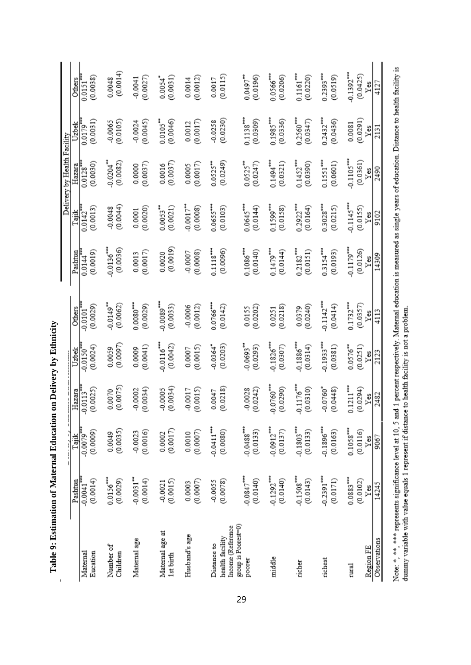| j<br>l                                                                          |
|---------------------------------------------------------------------------------|
| i<br>.<br>$\frac{1}{4}$                                                         |
|                                                                                 |
| $\overline{1}$<br>֖֖֖֖֖֖֖֖ׅ֖ׅ֖֖֧ׅ֖֧֧֪֪֪֪֧֪֪ׅ֖֚֚֚֚֚֚֚֚֚֚֚֚֚֚֚֚֚֚֚֚֚֚֚֚֚֚֚֬֝֝֓֞֞֝ |
| .<br>.<br>.<br>I                                                                |
| l                                                                               |

 $\overline{\phantom{a}}$ 

|                                                     |                          |                           |                          |                          |                         |                    |                         | Delivery by Health Facility |                       |                          |
|-----------------------------------------------------|--------------------------|---------------------------|--------------------------|--------------------------|-------------------------|--------------------|-------------------------|-----------------------------|-----------------------|--------------------------|
|                                                     | Pashtun                  | Tank                      | Hazara                   | Uzbek                    | <b>Others</b>           | Pashtun            | Tajik                   | Hazara                      | Uzbek                 | Others                   |
| Eucation                                            | $-0.0041$ $$             | $-0.0079$ <sup>**</sup>   | $-0.0113$                | $0.0150$ <sup>**</sup>   | (0.0029)                | 0.0144             | (0.0013)                | (0.0030)                    | (0.0031)              | (0.0038)                 |
| Maternal                                            | (0.0014)                 | (0.0009)                  | (0.0025)                 | (0.0024)                 | 0.0101                  | (0.0019)           | 0.0142                  | 0.0128                      | 0.0179                | 0.0151                   |
| Number of                                           | 0.0156                   | (0.0035)                  | (0.0075)                 | (0.0097)                 | $0.0149$ <sup>**</sup>  | $-0.0136$          | (0.0044)                | $-0.0204$                   | (0.0105)              | (0.0014)                 |
| Children                                            | (0.0029)                 | 0.0049                    | 0.0070                   | 0.0059                   | (0.0062)                | (0.0036)           | $-0.0048$               | (0.0082)                    | $-0.0065$             | 0.0048                   |
| Maternal age                                        | $0.0031$ <sup>**</sup>   | (0.0016)                  | (0.0034)                 | (0.0041)                 | $0.0080***$             | (0.0017)           | (0.0020)                | (0.0037)                    | $-0.0024$             | (0.0027)                 |
|                                                     | (0.0014)                 | $-0.0023$                 | $-0.0002$                | 0.0009                   | (0.0029)                | 0.0013             | 0.0001                  | 0.0000                      | (0.0045)              | $-0.0041$                |
| Maternal age at                                     | (0.0015)                 | $0.0002$<br>$(0.0017)$    | (0.0034)                 | $-0.0116$ <sup>***</sup> | $0.0089$ <sup>***</sup> | (0.0019)           | $0.0053$ **             | (0.0037)                    | $0.0105**$            | (0.0031)                 |
| 1st birth                                           | $-0.0021$                |                           | $-0.0005$                | (0.0042)                 | (0.0033)                | 0.0020             | (0.0021)                | 0.0016                      | (0.0046)              | $0.0054$ <sup>*</sup>    |
| Husband's age                                       | (0.0007)                 | (0.0007)                  | $-0.0017$                | (0.0015)                 | (0.0012)                | (0.0008)           | $-0.0017$ <sup>**</sup> | (0.0017)                    | (0.0017)              | (0.0012)                 |
|                                                     | 0.0003                   | 0.0010                    | (0.0015)                 | 0.0007                   | $-0.0006$               | 0.0007             | (0.0008)                | 0.0005                      | 0.0012                | 0.0014                   |
| Income (Reference<br>health facility<br>Distance to | (0.0078)<br>$-0.0055$    | $-0.0411$ ***<br>(0.0080) | (0.0218)<br>0.0047       | $-0.0364"$<br>(0.0203)   | $0.0766***$<br>(0.0142) | 0.1118<br>(0.0096) | $0.0655***$<br>(0.0103) | (0.0249)<br>$0.0525***$     | (0.0230)<br>$-0.0258$ | (0.0115)<br>0.0017       |
| group is Poorest=0)                                 | $-0.0847***$             | $-0.0488$                 | $-0.0028$                | $-0.0693$ <sup>**</sup>  | (0.0202)                | 0.1086             | 0.0645***               | $0.0525$ <sup>**</sup>      | $0.1138***$           | $0.0497$ **              |
| poorer                                              | (0.0140)                 | (0.0133)                  | (0.0242)                 | (0.0293)                 | 0.0155                  | (0.0140)           | (0.0144)                | (0.0247)                    | (0.0309)              | (0.0196)                 |
| middle                                              | $-0.1292$ <sup>***</sup> | $-0.0912***$              | $-0.0760$                | $-0.1826$ <sup>***</sup> | (0.0218)                | 0.1479***          | 0.1599***               | 0.1494***                   | $0.1985***$           | $0.0566***$              |
|                                                     | (0.0140)                 | (0.0137)                  | (0.0290)                 | (0.0307)                 | 0.0251                  | (0.0144)           | (0.0158)                | (0.0321)                    | (0.0336)              | (0.0206)                 |
| richer                                              | $-0.1508$ <sup>***</sup> | $-0.1803***$              | $-0.1176$ <sup>***</sup> | $-0.1886$                | (0.0240)                | $0.2182***$        | $0.2922***$             | $0.1452***$                 | $0.2560***$           | $0.1161$ <sup>***</sup>  |
|                                                     | (0.0143)                 | (0.0133)                  | (0.0310)                 | (0.0314)                 | 0.0379                  | (0.0151)           | (0.0164)                | (0.0390)                    | (0.0347)              | (0.0220)                 |
| richest                                             | $-0.2391***$             | $-0.1896$                 | $-0.0760*$               | $-0.1933***$             | 0.1142                  | 0.3154***          | $0.3028***$             | $0.1551$ <sup>***</sup>     | 0.2432***             | $0.2393***$              |
|                                                     | (0.0171)                 | (0.0163)                  | (0.0448)                 | (0.0381)                 | (0.0414)                | (0.0193)           | (0.0215)                | (0.0601)                    | (0.0436)              | (0.0519)                 |
| rural                                               | $0.0883***$              | $0.1058***$               | $0.1211***$              | 0.0576                   | 0.1732***               | $-0.1179***$       | $-0.1145***$            | $0.1105***$                 | (0.0291)              | $-0.1392$ <sup>***</sup> |
|                                                     | (0.0102)                 | (0.0116)                  | (0.0294)                 | (0.0251)                 | (0.0357)                | (0.0126)           | (0.0155)                | (0.0361)                    | 0.0081                | (0.0425)                 |
| Observations                                        | 14245                    | 9067                      | 2482                     | 2123                     | 4113                    | 14309              | 9102                    | 2490                        | 2131                  | 4127                     |
| Region FE                                           | Yes                      | $Y$ es                    | Yes                      | Yes                      | Yes                     | Yes                | Yes                     | Yes                         | Yes                   | Yes                      |
|                                                     |                          |                           |                          |                          |                         |                    |                         |                             |                       |                          |

Note: \*, \*\*, \*\*\* represents significance level at 10, 5 and 1 percent respectively. Maternal education is measured as single years of education. Distance to health facility is<br>dummy variable with value equals 1 represent i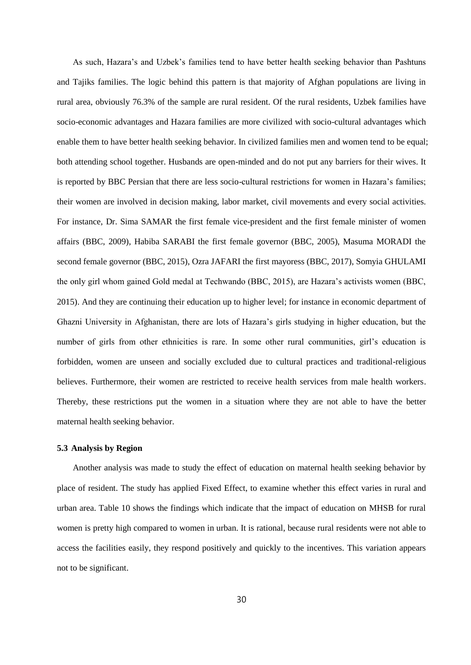As such, Hazara's and Uzbek's families tend to have better health seeking behavior than Pashtuns and Tajiks families. The logic behind this pattern is that majority of Afghan populations are living in rural area, obviously 76.3% of the sample are rural resident. Of the rural residents, Uzbek families have socio-economic advantages and Hazara families are more civilized with socio-cultural advantages which enable them to have better health seeking behavior. In civilized families men and women tend to be equal; both attending school together. Husbands are open-minded and do not put any barriers for their wives. It is reported by BBC Persian that there are less socio-cultural restrictions for women in Hazara's families; their women are involved in decision making, labor market, civil movements and every social activities. For instance, Dr. Sima SAMAR the first female vice-president and the first female minister of women affairs (BBC, 2009), Habiba SARABI the first female governor (BBC, 2005), Masuma MORADI the second female governor (BBC, 2015), Ozra JAFARI the first mayoress (BBC, 2017), Somyia GHULAMI the only girl whom gained Gold medal at Techwando (BBC, 2015), are Hazara's activists women (BBC, 2015). And they are continuing their education up to higher level; for instance in economic department of Ghazni University in Afghanistan, there are lots of Hazara's girls studying in higher education, but the number of girls from other ethnicities is rare. In some other rural communities, girl's education is forbidden, women are unseen and socially excluded due to cultural practices and traditional-religious believes. Furthermore, their women are restricted to receive health services from male health workers. Thereby, these restrictions put the women in a situation where they are not able to have the better maternal health seeking behavior.

#### **5.3 Analysis by Region**

Another analysis was made to study the effect of education on maternal health seeking behavior by place of resident. The study has applied Fixed Effect, to examine whether this effect varies in rural and urban area. Table 10 shows the findings which indicate that the impact of education on MHSB for rural women is pretty high compared to women in urban. It is rational, because rural residents were not able to access the facilities easily, they respond positively and quickly to the incentives. This variation appears not to be significant.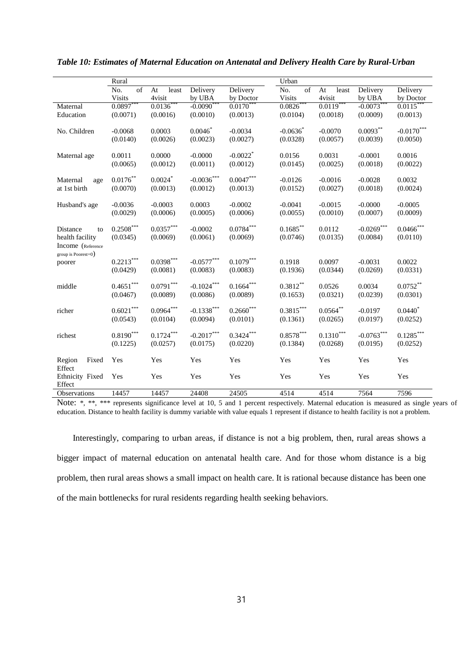|                        | Rural                   |                         |                   |                        | Urban                   |             |               |                         |
|------------------------|-------------------------|-------------------------|-------------------|------------------------|-------------------------|-------------|---------------|-------------------------|
|                        | of<br>No.               | At<br>least             | Delivery          | Delivery               | of<br>No.               | At<br>least | Delivery      | Delivery                |
|                        | <b>Visits</b>           | 4visit                  | by UBA            | by Doctor              | <b>Visits</b>           | 4visit      | by UBA        | by Doctor               |
| Maternal               | $0.0897***$             | $0.0136***$             | $-0.0090***$      | $0.0170***$            | $0.0826***$             | $0.0119***$ | $-0.0073***$  | $0.0115***$             |
| Education              | (0.0071)                | (0.0016)                | (0.0010)          | (0.0013)               | (0.0104)                | (0.0018)    | (0.0009)      | (0.0013)                |
|                        |                         |                         |                   |                        |                         |             |               |                         |
| No. Children           | $-0.0068$               | 0.0003                  | $0.0046*$         | $-0.0034$              | $-0.0636*$              | $-0.0070$   | $0.0093***$   | $-0.0170***$            |
|                        | (0.0140)                | (0.0026)                | (0.0023)          | (0.0027)               | (0.0328)                | (0.0057)    | (0.0039)      | (0.0050)                |
|                        |                         |                         |                   |                        |                         |             |               |                         |
| Maternal age           | 0.0011                  | 0.0000                  | $-0.0000$         | $-0.0022$ <sup>*</sup> | 0.0156                  | 0.0031      | $-0.0001$     | 0.0016                  |
|                        | (0.0065)                | (0.0012)                | (0.0011)          | (0.0012)               | (0.0145)                | (0.0025)    | (0.0018)      | (0.0022)                |
|                        |                         |                         |                   | $0.0047***$            |                         |             |               |                         |
| Maternal<br>age        | $0.0176***$             | $0.0024$ *              | $-0.0036^{***}\,$ |                        | $-0.0126$               | $-0.0016$   | $-0.0028$     | 0.0032                  |
| at 1st birth           | (0.0070)                | (0.0013)                | (0.0012)          | (0.0013)               | (0.0152)                | (0.0027)    | (0.0018)      | (0.0024)                |
| Husband's age          | $-0.0036$               | $-0.0003$               | 0.0003            | $-0.0002$              | $-0.0041$               | $-0.0015$   | $-0.0000$     | $-0.0005$               |
|                        | (0.0029)                | (0.0006)                | (0.0005)          | (0.0006)               | (0.0055)                | (0.0010)    | (0.0007)      | (0.0009)                |
|                        |                         |                         |                   |                        |                         |             |               |                         |
| Distance<br>to         | $0.2508^{\ast\ast\ast}$ | $0.0357^{\ast\ast\ast}$ | $-0.0002$         | $0.0784***$            | $0.1685***$             | 0.0112      | $-0.0269$ *** | $0.0466^{\ast\ast\ast}$ |
| health facility        | (0.0345)                | (0.0069)                | (0.0061)          | (0.0069)               | (0.0746)                | (0.0135)    | (0.0084)      | (0.0110)                |
| Income (Reference      |                         |                         |                   |                        |                         |             |               |                         |
| group is $Poorest=0$ ) |                         |                         |                   |                        |                         |             |               |                         |
| poorer                 | $0.2213***$             | $0.0398***$             | $-0.0577***$      | $0.1079***$            | 0.1918                  | 0.0097      | $-0.0031$     | 0.0022                  |
|                        | (0.0429)                | (0.0081)                | (0.0083)          | (0.0083)               | (0.1936)                | (0.0344)    | (0.0269)      | (0.0331)                |
|                        |                         |                         |                   |                        |                         |             |               |                         |
| middle                 | $0.4651***$             | $0.0791^{\ast\ast\ast}$ | $-0.1024***$      | $0.1664^{***}$         | $0.3812***$             | 0.0526      | 0.0034        | $0.0752**$              |
|                        | (0.0467)                | (0.0089)                | (0.0086)          | (0.0089)               | (0.1653)                | (0.0321)    | (0.0239)      | (0.0301)                |
|                        |                         |                         |                   |                        |                         |             |               |                         |
| richer                 | $0.6021^{\ast\ast\ast}$ | $0.0964^{***}\,$        | $-0.1338***$      | $0.2660^\ast$          | $0.3815^{\ast\ast\ast}$ | $0.0564***$ | $-0.0197$     | $0.0440^*$              |
|                        | (0.0543)                | (0.0104)                | (0.0094)          | (0.0101)               | (0.1361)                | (0.0265)    | (0.0197)      | (0.0252)                |
| richest                | $0.8190***$             | $0.1724***$             | $-0.2017***$      | $0.3424***$            | $0.8578^{\ast\ast\ast}$ | $0.1310***$ | $-0.0763***$  | $0.1285***$             |
|                        | (0.1225)                | (0.0257)                | (0.0175)          | (0.0220)               | (0.1384)                | (0.0268)    | (0.0195)      | (0.0252)                |
|                        |                         |                         |                   |                        |                         |             |               |                         |
| Region<br>Fixed        | Yes                     | Yes                     | Yes               | Yes                    | Yes                     | Yes         | Yes           | Yes                     |
| Effect                 |                         |                         |                   |                        |                         |             |               |                         |
| Ethnicity Fixed        | Yes                     | Yes                     | Yes               | Yes                    | Yes                     | Yes         | Yes           | Yes                     |
| Effect                 |                         |                         |                   |                        |                         |             |               |                         |
| Observations           | 14457                   | 14457                   | 24408             | 24505                  | 4514                    | 4514        | 7564          | 7596                    |

*Table 10: Estimates of Maternal Education on Antenatal and Delivery Health Care by Rural-Urban*

Note: \*, \*\*, \*\*\* represents significance level at 10, 5 and 1 percent respectively. Maternal education is measured as single years of education. Distance to health facility is dummy variable with value equals 1 represent if distance to health facility is not a problem.

Interestingly, comparing to urban areas, if distance is not a big problem, then, rural areas shows a bigger impact of maternal education on antenatal health care. And for those whom distance is a big problem, then rural areas shows a small impact on health care. It is rational because distance has been one of the main bottlenecks for rural residents regarding health seeking behaviors.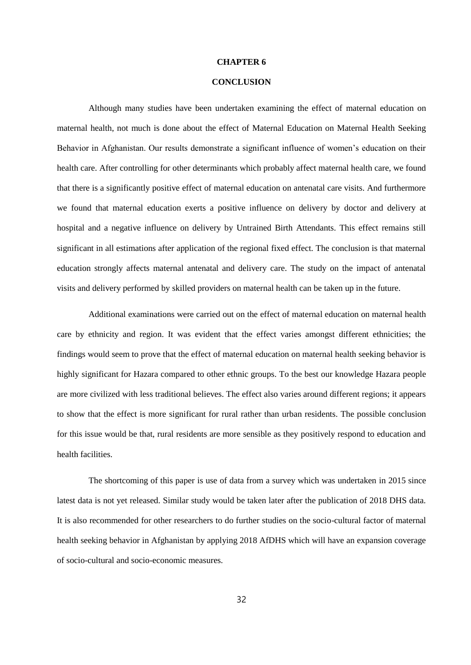#### **CHAPTER 6**

### **CONCLUSION**

Although many studies have been undertaken examining the effect of maternal education on maternal health, not much is done about the effect of Maternal Education on Maternal Health Seeking Behavior in Afghanistan. Our results demonstrate a significant influence of women's education on their health care. After controlling for other determinants which probably affect maternal health care, we found that there is a significantly positive effect of maternal education on antenatal care visits. And furthermore we found that maternal education exerts a positive influence on delivery by doctor and delivery at hospital and a negative influence on delivery by Untrained Birth Attendants. This effect remains still significant in all estimations after application of the regional fixed effect. The conclusion is that maternal education strongly affects maternal antenatal and delivery care. The study on the impact of antenatal visits and delivery performed by skilled providers on maternal health can be taken up in the future.

Additional examinations were carried out on the effect of maternal education on maternal health care by ethnicity and region. It was evident that the effect varies amongst different ethnicities; the findings would seem to prove that the effect of maternal education on maternal health seeking behavior is highly significant for Hazara compared to other ethnic groups. To the best our knowledge Hazara people are more civilized with less traditional believes. The effect also varies around different regions; it appears to show that the effect is more significant for rural rather than urban residents. The possible conclusion for this issue would be that, rural residents are more sensible as they positively respond to education and health facilities.

The shortcoming of this paper is use of data from a survey which was undertaken in 2015 since latest data is not yet released. Similar study would be taken later after the publication of 2018 DHS data. It is also recommended for other researchers to do further studies on the socio-cultural factor of maternal health seeking behavior in Afghanistan by applying 2018 AfDHS which will have an expansion coverage of socio-cultural and socio-economic measures.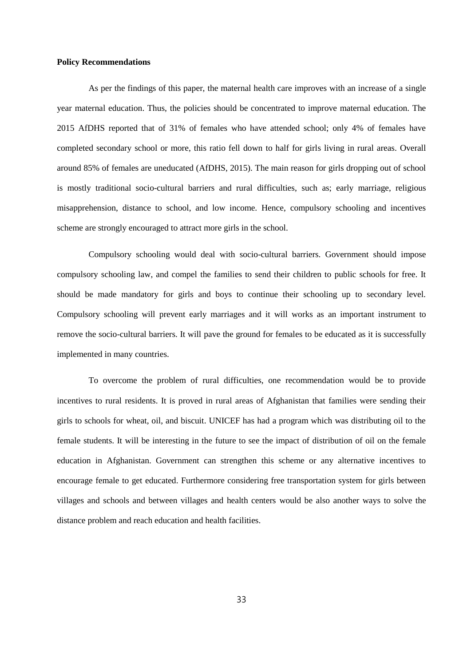#### **Policy Recommendations**

As per the findings of this paper, the maternal health care improves with an increase of a single year maternal education. Thus, the policies should be concentrated to improve maternal education. The 2015 AfDHS reported that of 31% of females who have attended school; only 4% of females have completed secondary school or more, this ratio fell down to half for girls living in rural areas. Overall around 85% of females are uneducated (AfDHS, 2015). The main reason for girls dropping out of school is mostly traditional socio-cultural barriers and rural difficulties, such as; early marriage, religious misapprehension, distance to school, and low income. Hence, compulsory schooling and incentives scheme are strongly encouraged to attract more girls in the school.

Compulsory schooling would deal with socio-cultural barriers. Government should impose compulsory schooling law, and compel the families to send their children to public schools for free. It should be made mandatory for girls and boys to continue their schooling up to secondary level. Compulsory schooling will prevent early marriages and it will works as an important instrument to remove the socio-cultural barriers. It will pave the ground for females to be educated as it is successfully implemented in many countries.

To overcome the problem of rural difficulties, one recommendation would be to provide incentives to rural residents. It is proved in rural areas of Afghanistan that families were sending their girls to schools for wheat, oil, and biscuit. UNICEF has had a program which was distributing oil to the female students. It will be interesting in the future to see the impact of distribution of oil on the female education in Afghanistan. Government can strengthen this scheme or any alternative incentives to encourage female to get educated. Furthermore considering free transportation system for girls between villages and schools and between villages and health centers would be also another ways to solve the distance problem and reach education and health facilities.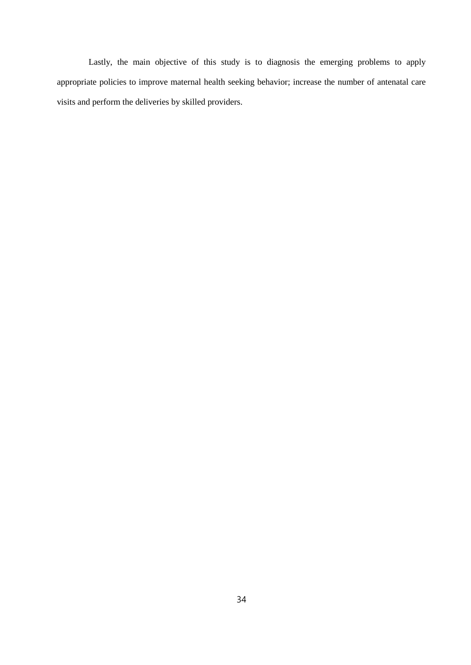Lastly, the main objective of this study is to diagnosis the emerging problems to apply appropriate policies to improve maternal health seeking behavior; increase the number of antenatal care visits and perform the deliveries by skilled providers.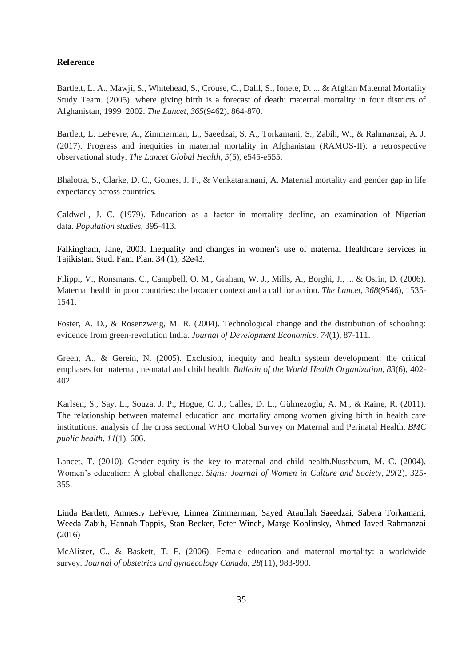### **Reference**

Bartlett, L. A., Mawji, S., Whitehead, S., Crouse, C., Dalil, S., Ionete, D. ... & Afghan Maternal Mortality Study Team. (2005). where giving birth is a forecast of death: maternal mortality in four districts of Afghanistan, 1999–2002. *The Lancet*, *365*(9462), 864-870.

Bartlett, L. LeFevre, A., Zimmerman, L., Saeedzai, S. A., Torkamani, S., Zabih, W., & Rahmanzai, A. J. (2017). Progress and inequities in maternal mortality in Afghanistan (RAMOS-II): a retrospective observational study. *The Lancet Global Health*, *5*(5), e545-e555.

Bhalotra, S., Clarke, D. C., Gomes, J. F., & Venkataramani, A. Maternal mortality and gender gap in life expectancy across countries.

Caldwell, J. C. (1979). Education as a factor in mortality decline, an examination of Nigerian data. *Population studies*, 395-413.

Falkingham, Jane, 2003. Inequality and changes in women's use of maternal Healthcare services in Tajikistan. Stud. Fam. Plan. 34 (1), 32e43.

Filippi, V., Ronsmans, C., Campbell, O. M., Graham, W. J., Mills, A., Borghi, J., ... & Osrin, D. (2006). Maternal health in poor countries: the broader context and a call for action. *The Lancet*, *368*(9546), 1535- 1541.

Foster, A. D., & Rosenzweig, M. R. (2004). Technological change and the distribution of schooling: evidence from green-revolution India. *Journal of Development Economics*, *74*(1), 87-111.

Green, A., & Gerein, N. (2005). Exclusion, inequity and health system development: the critical emphases for maternal, neonatal and child health. *Bulletin of the World Health Organization*, *83*(6), 402- 402.

Karlsen, S., Say, L., Souza, J. P., Hogue, C. J., Calles, D. L., Gülmezoglu, A. M., & Raine, R. (2011). The relationship between maternal education and mortality among women giving birth in health care institutions: analysis of the cross sectional WHO Global Survey on Maternal and Perinatal Health. *BMC public health*, *11*(1), 606.

Lancet, T. (2010). Gender equity is the key to maternal and child health.Nussbaum, M. C. (2004). Women's education: A global challenge. *Signs: Journal of Women in Culture and Society*, *29*(2), 325- 355.

Linda Bartlett, Amnesty LeFevre, Linnea Zimmerman, Sayed Ataullah Saeedzai, Sabera Torkamani, Weeda Zabih, Hannah Tappis, Stan Becker, Peter Winch, Marge Koblinsky, Ahmed Javed Rahmanzai (2016)

McAlister, C., & Baskett, T. F. (2006). Female education and maternal mortality: a worldwide survey. *Journal of obstetrics and gynaecology Canada*, *28*(11), 983-990.